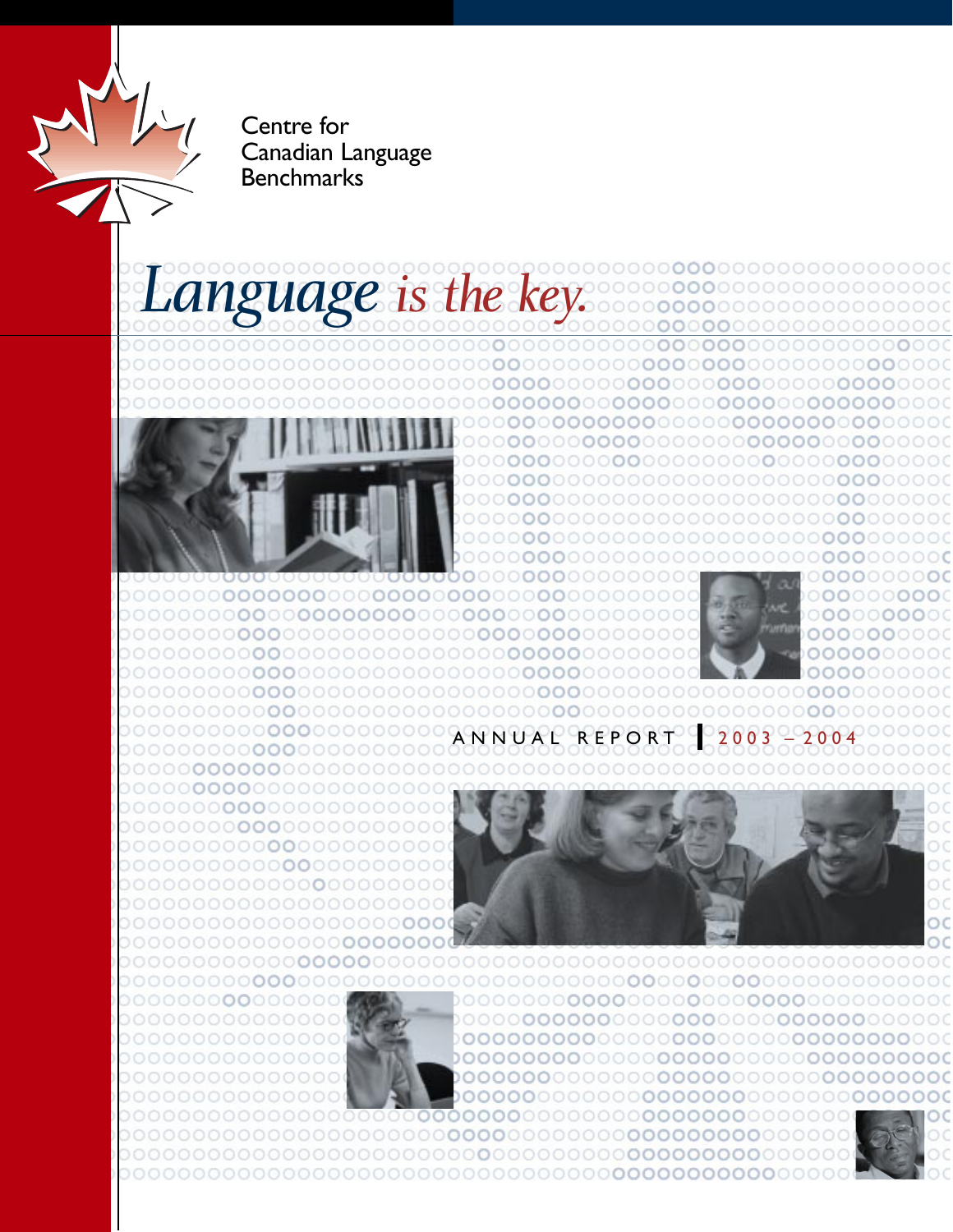Centre for Canadian Language Benchmarks

# *Language is the key.*



**000**000





**00**00000 **00**0000 **000**0000 ANNUAL REPORT 

ററ



 $\circ$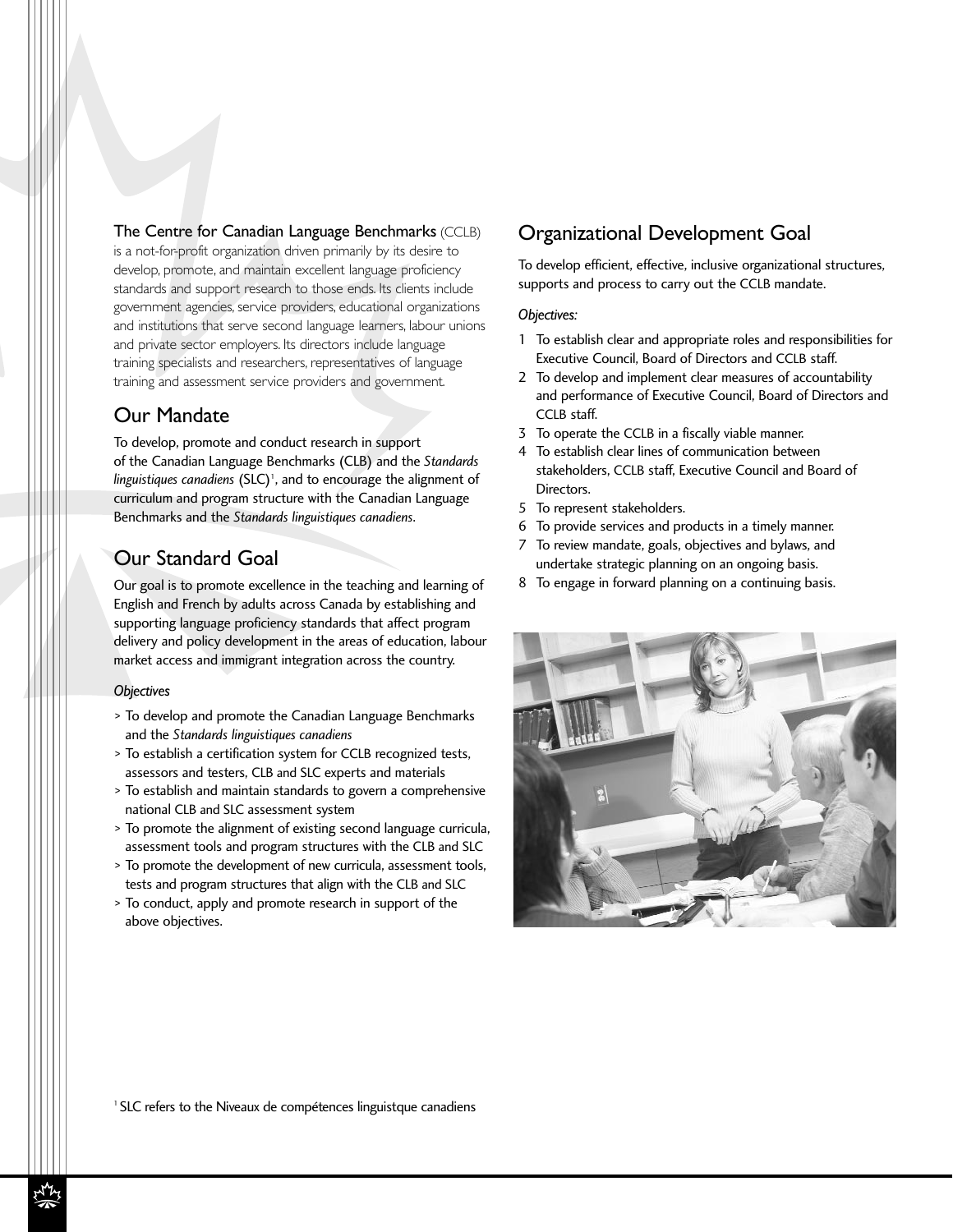The Centre for Canadian Language Benchmarks (CCLB)

is a not-for-profit organization driven primarily by its desire to develop, promote, and maintain excellent language proficiency standards and support research to those ends. Its clients include government agencies, service providers, educational organizations and institutions that serve second language learners, labour unions and private sector employers. Its directors include language training specialists and researchers, representatives of language training and assessment service providers and government.

## Our Mandate

To develop, promote and conduct research in support of the Canadian Language Benchmarks (CLB) and the *Standards* linguistiques canadiens (SLC)<sup>1</sup>, and to encourage the alignment of curriculum and program structure with the Canadian Language Benchmarks and the *Standards linguistiques canadiens*.

## Our Standard Goal

Our goal is to promote excellence in the teaching and learning of English and French by adults across Canada by establishing and supporting language proficiency standards that affect program delivery and policy development in the areas of education, labour market access and immigrant integration across the country.

#### *Objectives*

- > To develop and promote the Canadian Language Benchmarks and the *Standards linguistiques canadiens*
- > To establish a certification system for CCLB recognized tests, assessors and testers, CLB and SLC experts and materials
- > To establish and maintain standards to govern a comprehensive national CLB and SLC assessment system
- > To promote the alignment of existing second language curricula, assessment tools and program structures with the CLB and SLC
- > To promote the development of new curricula, assessment tools, tests and program structures that align with the CLB and SLC
- > To conduct, apply and promote research in support of the above objectives.

## Organizational Development Goal

To develop efficient, effective, inclusive organizational structures, supports and process to carry out the CCLB mandate.

#### *Objectives:*

- 1 To establish clear and appropriate roles and responsibilities for Executive Council, Board of Directors and CCLB staff.
- 2 To develop and implement clear measures of accountability and performance of Executive Council, Board of Directors and CCLB staff.
- 3 To operate the CCLB in a fiscally viable manner.
- 4 To establish clear lines of communication between stakeholders, CCLB staff, Executive Council and Board of Directors.
- 5 To represent stakeholders.
- 6 To provide services and products in a timely manner.
- 7 To review mandate, goals, objectives and bylaws, and undertake strategic planning on an ongoing basis.
- 8 To engage in forward planning on a continuing basis.



<sup>1</sup> SLC refers to the Niveaux de compétences linguistque canadiens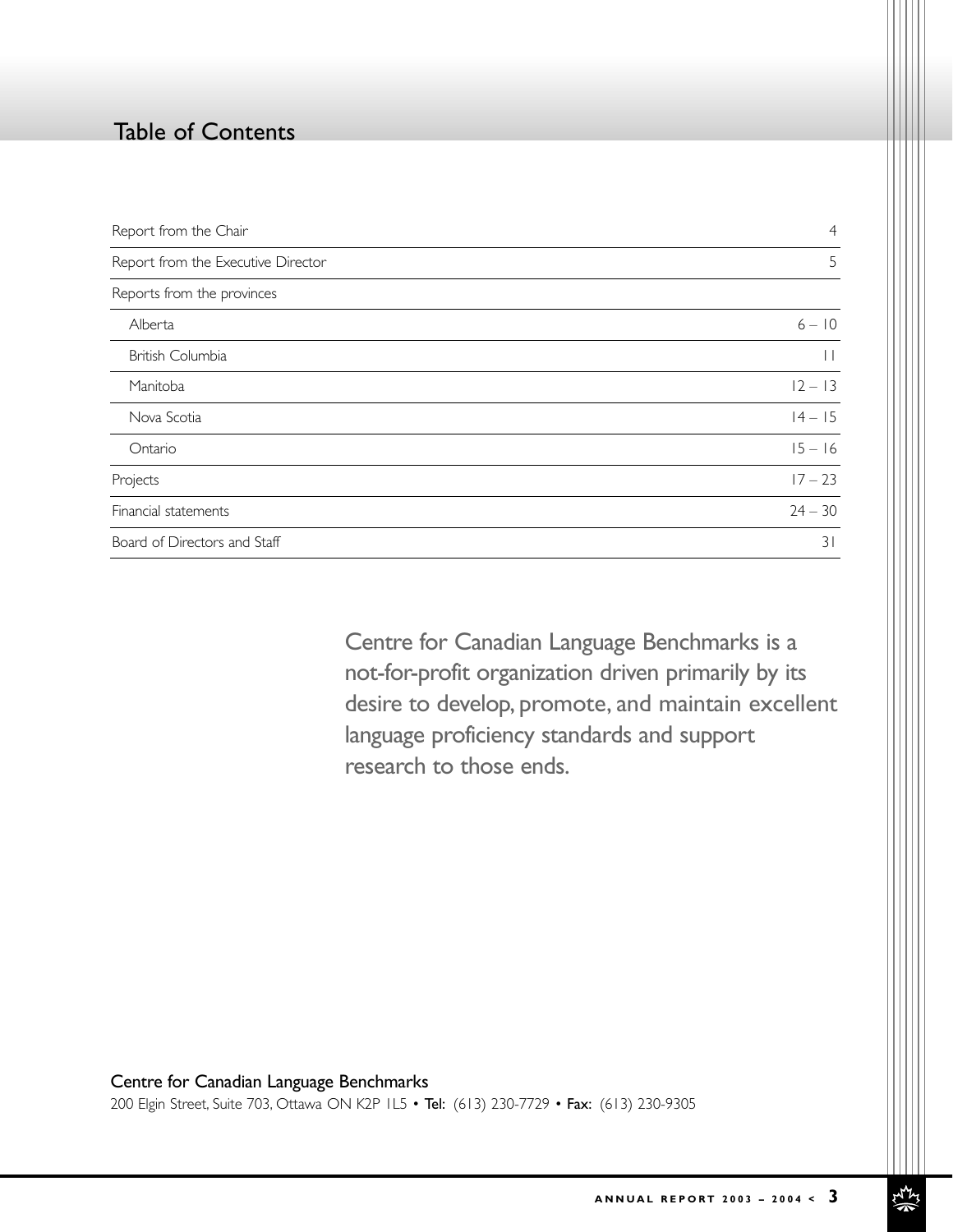# Table of Contents

| Report from the Chair              | $\overline{4}$  |
|------------------------------------|-----------------|
| Report from the Executive Director | 5               |
| Reports from the provinces         |                 |
| Alberta                            | $6 - 10$        |
| British Columbia                   | $\vert \ \vert$ |
| Manitoba                           | $12 - 13$       |
| Nova Scotia                        | $14 - 15$       |
| Ontario                            | $15 - 16$       |
| Projects                           | $17 - 23$       |
| Financial statements               | $24 - 30$       |
| Board of Directors and Staff       | 31              |

Centre for Canadian Language Benchmarks is a not-for-profit organization driven primarily by its desire to develop, promote, and maintain excellent language proficiency standards and support research to those ends.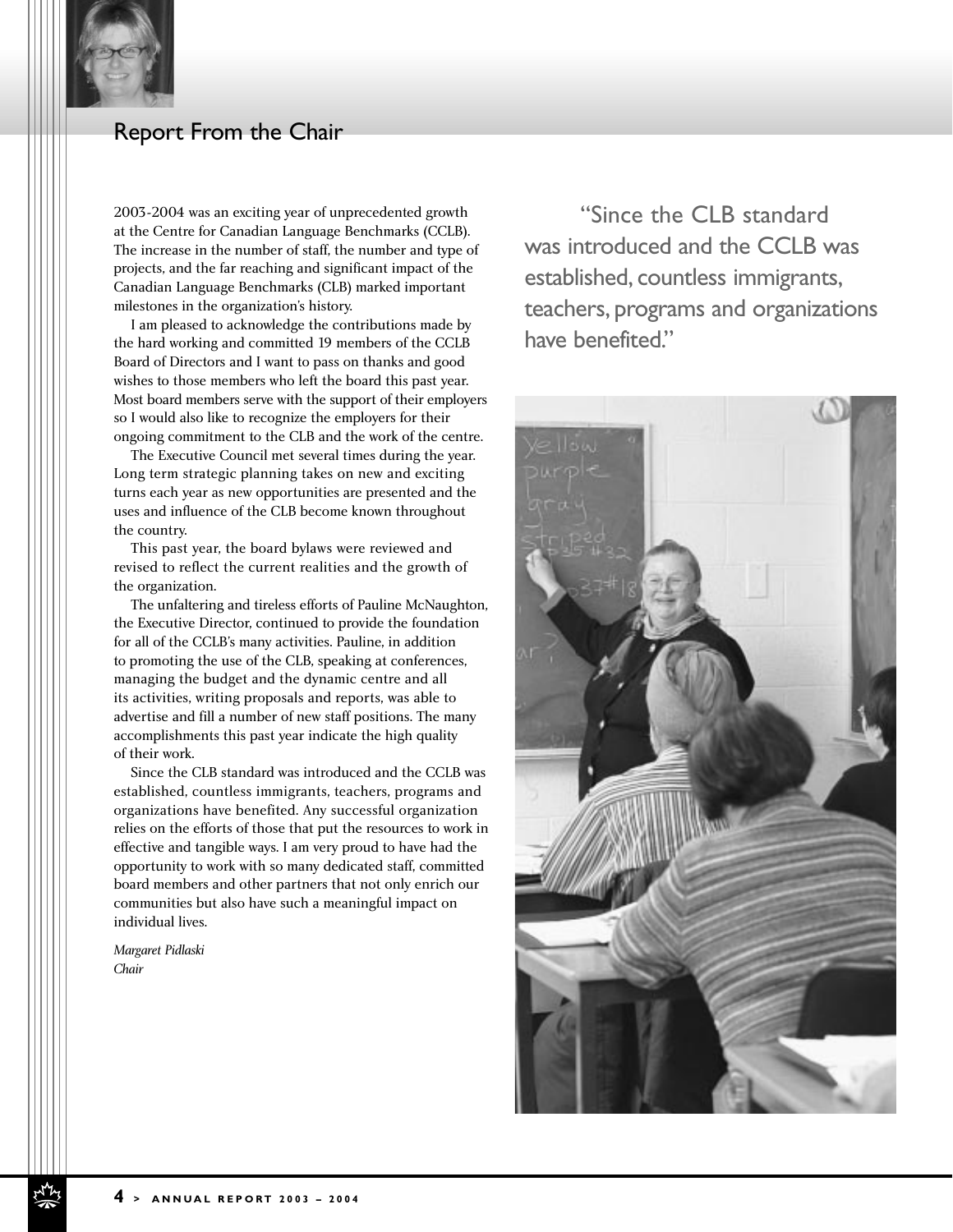

## Report From the Chair

2003-2004 was an exciting year of unprecedented growth at the Centre for Canadian Language Benchmarks (CCLB). The increase in the number of staff, the number and type of projects, and the far reaching and significant impact of the Canadian Language Benchmarks (CLB) marked important milestones in the organization's history.

I am pleased to acknowledge the contributions made by the hard working and committed 19 members of the CCLB Board of Directors and I want to pass on thanks and good wishes to those members who left the board this past year. Most board members serve with the support of their employers so I would also like to recognize the employers for their ongoing commitment to the CLB and the work of the centre.

The Executive Council met several times during the year. Long term strategic planning takes on new and exciting turns each year as new opportunities are presented and the uses and influence of the CLB become known throughout the country.

This past year, the board bylaws were reviewed and revised to reflect the current realities and the growth of the organization.

The unfaltering and tireless efforts of Pauline McNaughton, the Executive Director, continued to provide the foundation for all of the CCLB's many activities. Pauline, in addition to promoting the use of the CLB, speaking at conferences, managing the budget and the dynamic centre and all its activities, writing proposals and reports, was able to advertise and fill a number of new staff positions. The many accomplishments this past year indicate the high quality of their work.

Since the CLB standard was introduced and the CCLB was established, countless immigrants, teachers, programs and organizations have benefited. Any successful organization relies on the efforts of those that put the resources to work in effective and tangible ways. I am very proud to have had the opportunity to work with so many dedicated staff, committed board members and other partners that not only enrich our communities but also have such a meaningful impact on individual lives.

*Margaret Pidlaski Chair*

"Since the CLB standard was introduced and the CCLB was established, countless immigrants, teachers, programs and organizations have benefited."

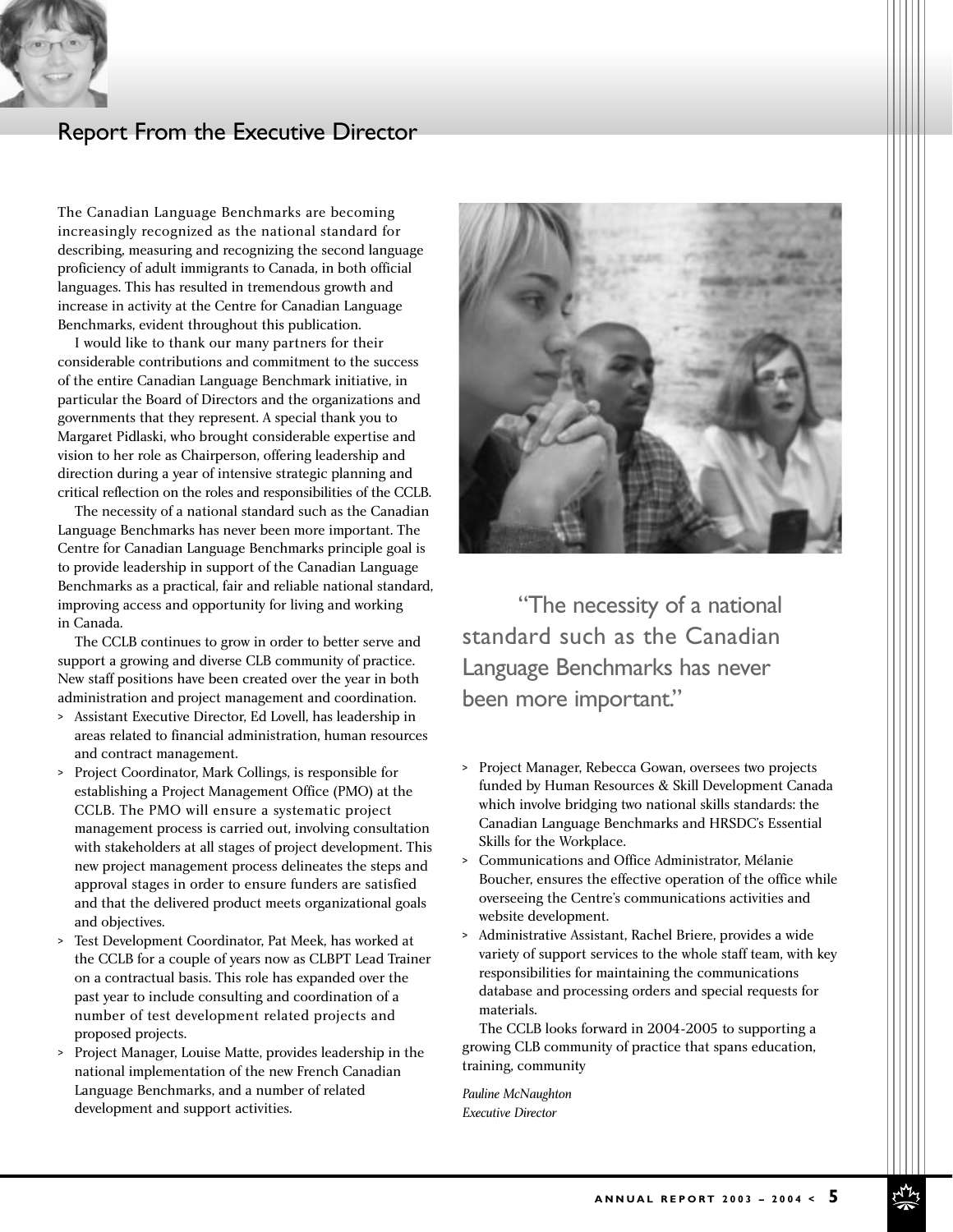

# Report From the Executive Director

The Canadian Language Benchmarks are becoming increasingly recognized as the national standard for describing, measuring and recognizing the second language proficiency of adult immigrants to Canada, in both official languages. This has resulted in tremendous growth and increase in activity at the Centre for Canadian Language Benchmarks, evident throughout this publication.

I would like to thank our many partners for their considerable contributions and commitment to the success of the entire Canadian Language Benchmark initiative, in particular the Board of Directors and the organizations and governments that they represent. A special thank you to Margaret Pidlaski, who brought considerable expertise and vision to her role as Chairperson, offering leadership and direction during a year of intensive strategic planning and critical reflection on the roles and responsibilities of the CCLB.

The necessity of a national standard such as the Canadian Language Benchmarks has never been more important. The Centre for Canadian Language Benchmarks principle goal is to provide leadership in support of the Canadian Language Benchmarks as a practical, fair and reliable national standard, improving access and opportunity for living and working in Canada.

The CCLB continues to grow in order to better serve and support a growing and diverse CLB community of practice. New staff positions have been created over the year in both administration and project management and coordination.

- > Assistant Executive Director, Ed Lovell, has leadership in areas related to financial administration, human resources and contract management.
- > Project Coordinator, Mark Collings, is responsible for establishing a Project Management Office (PMO) at the CCLB. The PMO will ensure a systematic project management process is carried out, involving consultation with stakeholders at all stages of project development. This new project management process delineates the steps and approval stages in order to ensure funders are satisfied and that the delivered product meets organizational goals and objectives.
- > Test Development Coordinator, Pat Meek, has worked at the CCLB for a couple of years now as CLBPT Lead Trainer on a contractual basis. This role has expanded over the past year to include consulting and coordination of a number of test development related projects and proposed projects.
- > Project Manager, Louise Matte, provides leadership in the national implementation of the new French Canadian Language Benchmarks, and a number of related development and support activities.



"The necessity of a national standard such as the Canadian Language Benchmarks has never been more important."

- > Project Manager, Rebecca Gowan, oversees two projects funded by Human Resources & Skill Development Canada which involve bridging two national skills standards: the Canadian Language Benchmarks and HRSDC's Essential Skills for the Workplace.
- > Communications and Office Administrator, Mélanie Boucher, ensures the effective operation of the office while overseeing the Centre's communications activities and website development.
- > Administrative Assistant, Rachel Briere, provides a wide variety of support services to the whole staff team, with key responsibilities for maintaining the communications database and processing orders and special requests for materials.

The CCLB looks forward in 2004-2005 to supporting a growing CLB community of practice that spans education, training, community

*Pauline McNaughton Executive Director*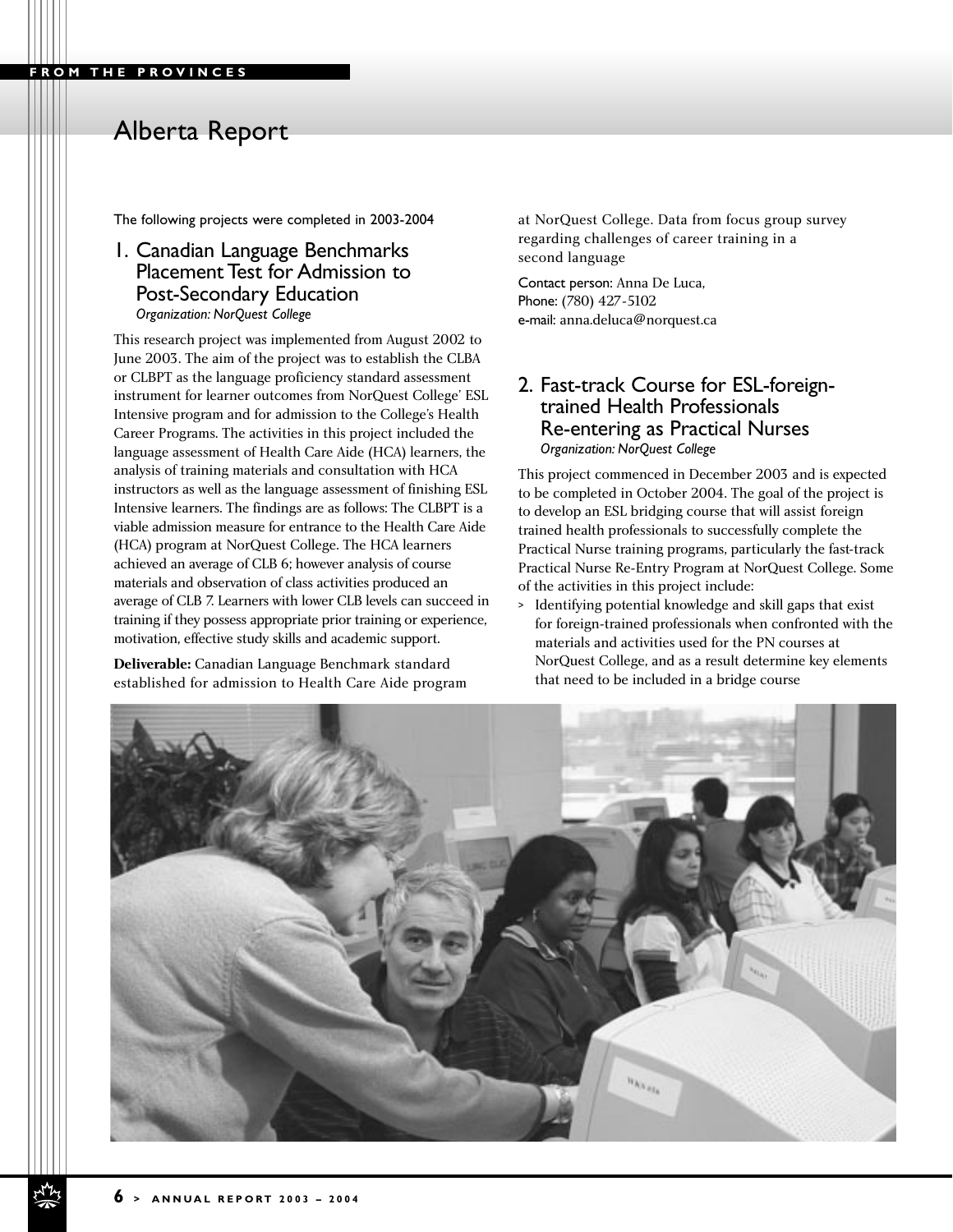The following projects were completed in 2003-2004

#### 1. Canadian Language Benchmarks Placement Test for Admission to Post-Secondary Education *Organization: NorQuest College*

This research project was implemented from August 2002 to June 2003. The aim of the project was to establish the CLBA or CLBPT as the language proficiency standard assessment instrument for learner outcomes from NorQuest College' ESL Intensive program and for admission to the College's Health Career Programs. The activities in this project included the language assessment of Health Care Aide (HCA) learners, the analysis of training materials and consultation with HCA instructors as well as the language assessment of finishing ESL Intensive learners. The findings are as follows: The CLBPT is a viable admission measure for entrance to the Health Care Aide (HCA) program at NorQuest College. The HCA learners achieved an average of CLB 6; however analysis of course materials and observation of class activities produced an average of CLB 7. Learners with lower CLB levels can succeed in training if they possess appropriate prior training or experience, motivation, effective study skills and academic support.

**Deliverable:** Canadian Language Benchmark standard established for admission to Health Care Aide program at NorQuest College. Data from focus group survey regarding challenges of career training in a second language

Contact person: Anna De Luca, Phone: (780) 427-5102 e-mail: anna.deluca@norquest.ca

#### 2. Fast-track Course for ESL-foreigntrained Health Professionals Re-entering as Practical Nurses *Organization: NorQuest College*

This project commenced in December 2003 and is expected to be completed in October 2004. The goal of the project is to develop an ESL bridging course that will assist foreign trained health professionals to successfully complete the Practical Nurse training programs, particularly the fast-track Practical Nurse Re-Entry Program at NorQuest College. Some of the activities in this project include:

> Identifying potential knowledge and skill gaps that exist for foreign-trained professionals when confronted with the materials and activities used for the PN courses at NorQuest College, and as a result determine key elements that need to be included in a bridge course

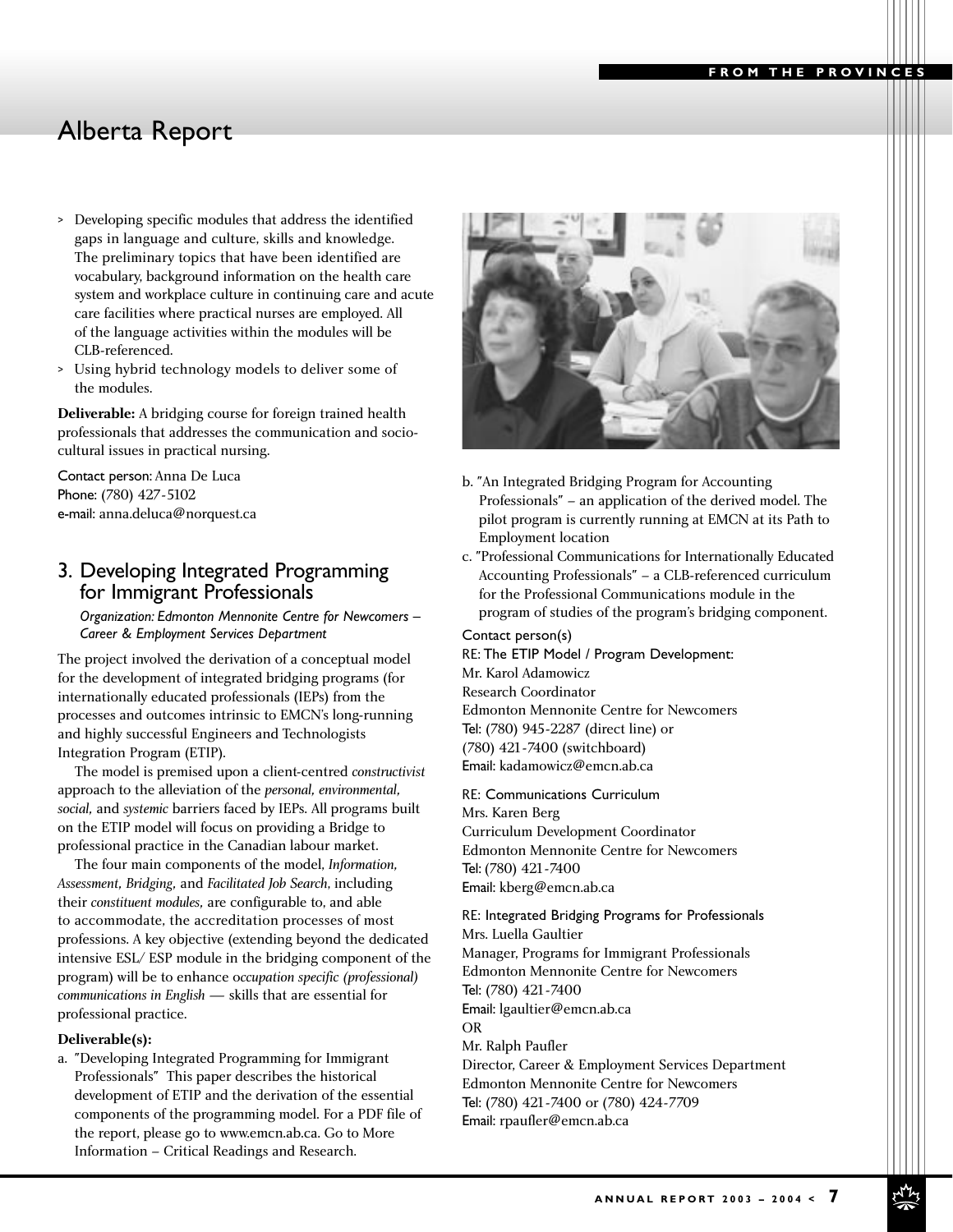- > Developing specific modules that address the identified gaps in language and culture, skills and knowledge. The preliminary topics that have been identified are vocabulary, background information on the health care system and workplace culture in continuing care and acute care facilities where practical nurses are employed. All of the language activities within the modules will be CLB-referenced.
- > Using hybrid technology models to deliver some of the modules.

**Deliverable:** A bridging course for foreign trained health professionals that addresses the communication and sociocultural issues in practical nursing.

Contact person: Anna De Luca Phone: (780) 427-5102 e-mail: anna.deluca@norquest.ca

## 3. Developing Integrated Programming for Immigrant Professionals

*Organization: Edmonton Mennonite Centre for Newcomers – Career & Employment Services Department*

The project involved the derivation of a conceptual model for the development of integrated bridging programs (for internationally educated professionals (IEPs) from the processes and outcomes intrinsic to EMCN's long-running and highly successful Engineers and Technologists Integration Program (ETIP).

The model is premised upon a client-centred *constructivist* approach to the alleviation of the *personal, environmental, social,* and *systemic* barriers faced by IEPs. All programs built on the ETIP model will focus on providing a Bridge to professional practice in the Canadian labour market.

The four main components of the model, *Information, Assessment, Bridging,* and *Facilitated Job Search*, including their *constituent modules,* are configurable to, and able to accommodate, the accreditation processes of most professions. A key objective (extending beyond the dedicated intensive ESL/ ESP module in the bridging component of the program) will be to enhance o*ccupation specific (professional) communications in English* — skills that are essential for professional practice.

#### **Deliverable(s):**

a. "Developing Integrated Programming for Immigrant Professionals" This paper describes the historical development of ETIP and the derivation of the essential components of the programming model. For a PDF file of the report, please go to www.emcn.ab.ca. Go to More Information – Critical Readings and Research.



- b. "An Integrated Bridging Program for Accounting Professionals" – an application of the derived model. The pilot program is currently running at EMCN at its Path to Employment location
- c. "Professional Communications for Internationally Educated Accounting Professionals" – a CLB-referenced curriculum for the Professional Communications module in the program of studies of the program's bridging component.

Contact person(s)

RE: The ETIP Model / Program Development: Mr. Karol Adamowicz Research Coordinator Edmonton Mennonite Centre for Newcomers Tel: (780) 945-2287 (direct line) or (780) 421-7400 (switchboard) Email: kadamowicz@emcn.ab.ca

RE: Communications Curriculum Mrs. Karen Berg Curriculum Development Coordinator Edmonton Mennonite Centre for Newcomers Tel: (780) 421-7400 Email: kberg@emcn.ab.ca

RE: Integrated Bridging Programs for Professionals Mrs. Luella Gaultier Manager, Programs for Immigrant Professionals Edmonton Mennonite Centre for Newcomers Tel: (780) 421-7400 Email: lgaultier@emcn.ab.ca OR

Mr. Ralph Paufler Director, Career & Employment Services Department Edmonton Mennonite Centre for Newcomers Tel: (780) 421-7400 or (780) 424-7709 Email: rpaufler@emcn.ab.ca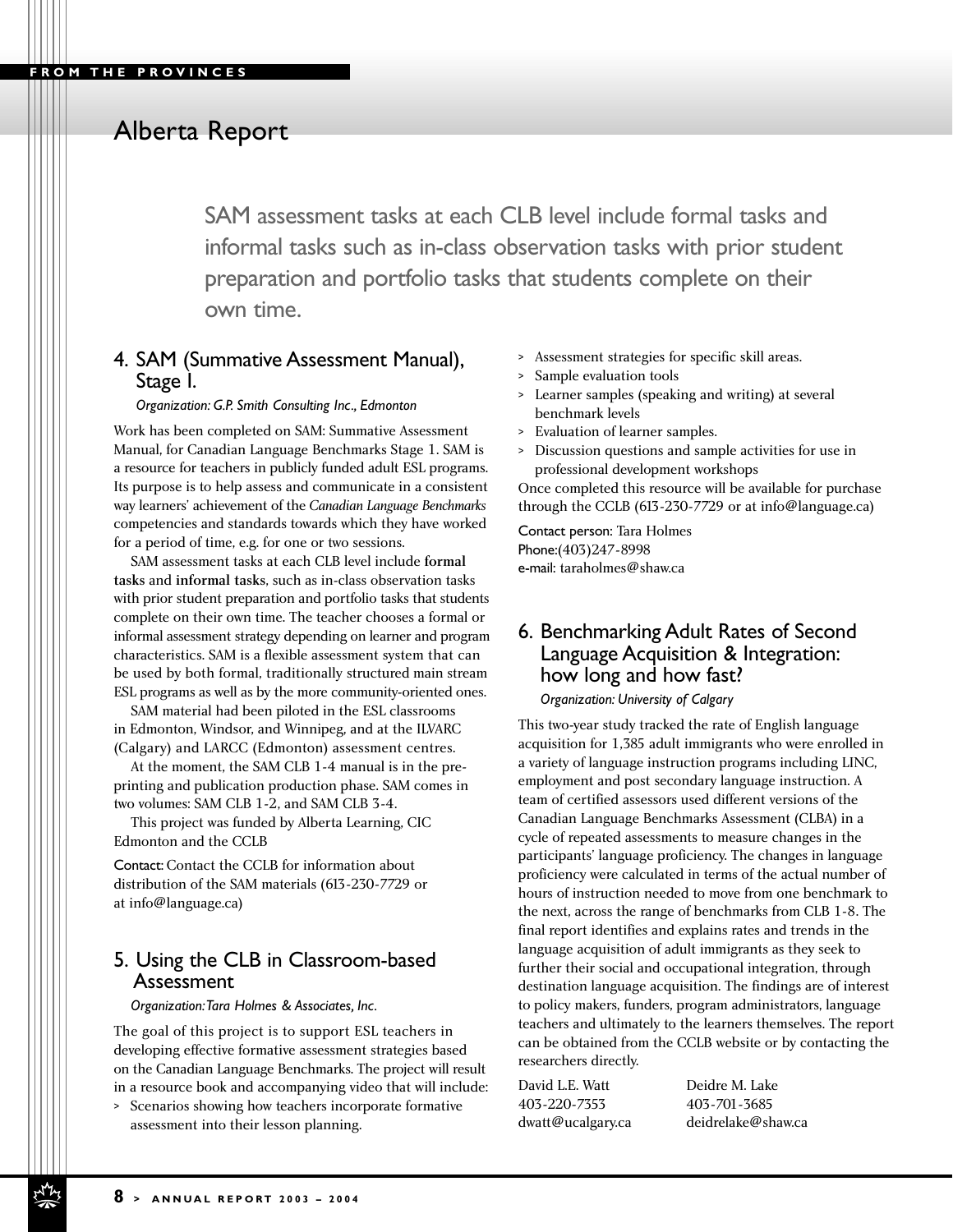SAM assessment tasks at each CLB level include formal tasks and informal tasks such as in-class observation tasks with prior student preparation and portfolio tasks that students complete on their own time.

## 4. SAM (Summative Assessment Manual), Stage I.

*Organization: G.P. Smith Consulting Inc., Edmonton*

Work has been completed on SAM: Summative Assessment Manual, for Canadian Language Benchmarks Stage 1. SAM is a resource for teachers in publicly funded adult ESL programs. Its purpose is to help assess and communicate in a consistent way learners' achievement of the *Canadian Language Benchmarks* competencies and standards towards which they have worked for a period of time, e.g. for one or two sessions.

SAM assessment tasks at each CLB level include formal tasks and informal tasks, such as in-class observation tasks with prior student preparation and portfolio tasks that students complete on their own time. The teacher chooses a formal or informal assessment strategy depending on learner and program characteristics. SAM is a flexible assessment system that can be used by both formal, traditionally structured main stream ESL programs as well as by the more community-oriented ones.

SAM material had been piloted in the ESL classrooms in Edmonton, Windsor, and Winnipeg, and at the ILVARC (Calgary) and LARCC (Edmonton) assessment centres.

At the moment, the SAM CLB 1-4 manual is in the preprinting and publication production phase. SAM comes in two volumes: SAM CLB 1-2, and SAM CLB 3-4.

This project was funded by Alberta Learning, CIC Edmonton and the CCLB

Contact: Contact the CCLB for information about distribution of the SAM materials (613-230-7729 or at info@language.ca)

## 5. Using the CLB in Classroom-based Assessment

*Organization:Tara Holmes & Associates, Inc.*

The goal of this project is to support ESL teachers in developing effective formative assessment strategies based on the Canadian Language Benchmarks. The project will result in a resource book and accompanying video that will include:

> Scenarios showing how teachers incorporate formative assessment into their lesson planning.

- > Assessment strategies for specific skill areas.
- Sample evaluation tools
- Learner samples (speaking and writing) at several benchmark levels
- > Evaluation of learner samples.
- > Discussion questions and sample activities for use in professional development workshops

Once completed this resource will be available for purchase through the CCLB (613-230-7729 or at info@language.ca)

Contact person: Tara Holmes Phone:(403)247-8998 e-mail: taraholmes@shaw.ca

#### 6. Benchmarking Adult Rates of Second Language Acquisition & Integration: how long and how fast?

*Organization: University of Calgary*

This two-year study tracked the rate of English language acquisition for 1,385 adult immigrants who were enrolled in a variety of language instruction programs including LINC, employment and post secondary language instruction. A team of certified assessors used different versions of the Canadian Language Benchmarks Assessment (CLBA) in a cycle of repeated assessments to measure changes in the participants' language proficiency. The changes in language proficiency were calculated in terms of the actual number of hours of instruction needed to move from one benchmark to the next, across the range of benchmarks from CLB 1-8. The final report identifies and explains rates and trends in the language acquisition of adult immigrants as they seek to further their social and occupational integration, through destination language acquisition. The findings are of interest to policy makers, funders, program administrators, language teachers and ultimately to the learners themselves. The report can be obtained from the CCLB website or by contacting the researchers directly.

David L.E. Watt Deidre M. Lake 403-220-7353 403-701-3685

dwatt@ucalgary.ca deidrelake@shaw.ca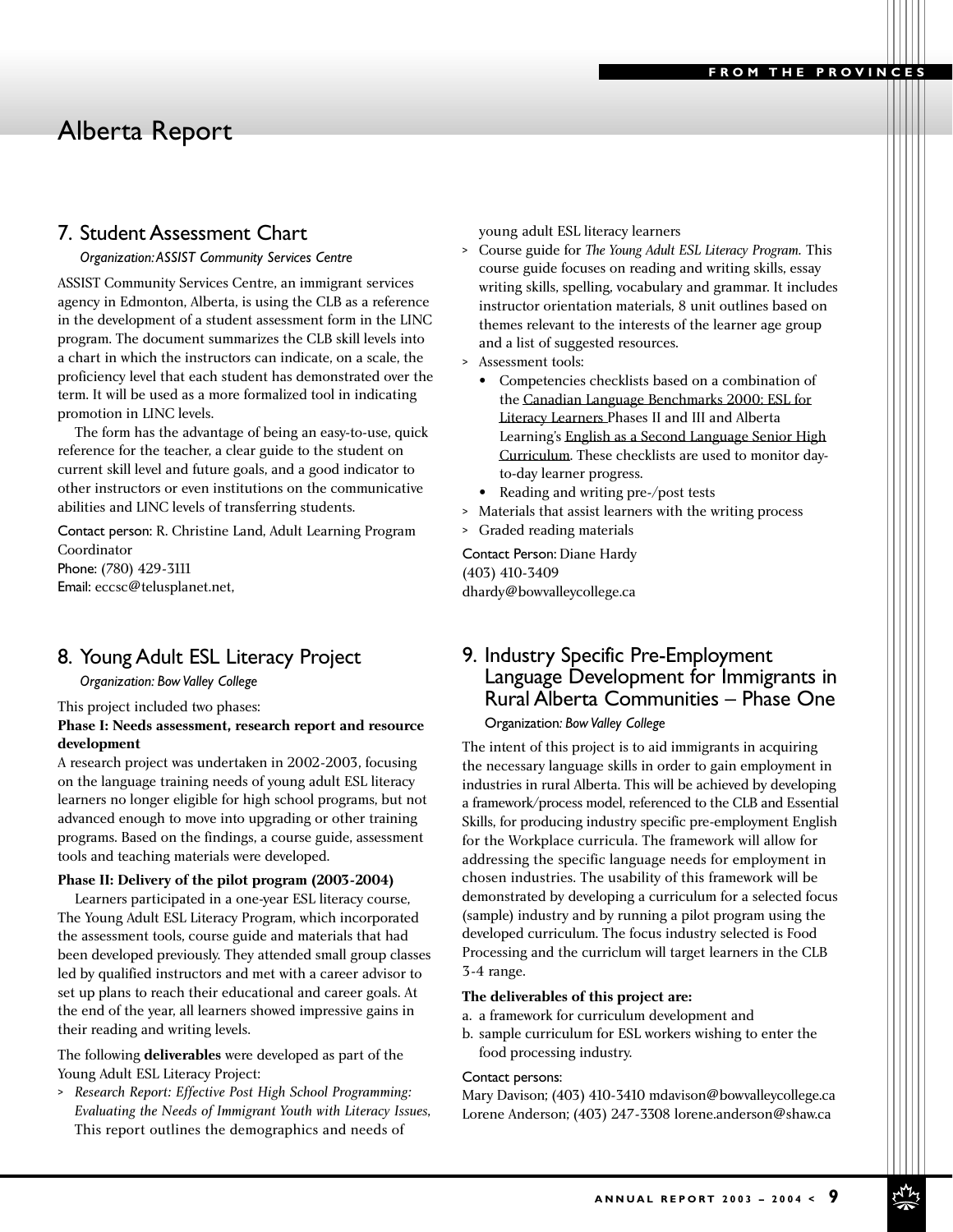#### 7. Student Assessment Chart

#### *Organization:ASSIST Community Services Centre*

ASSIST Community Services Centre, an immigrant services agency in Edmonton, Alberta, is using the CLB as a reference in the development of a student assessment form in the LINC program. The document summarizes the CLB skill levels into a chart in which the instructors can indicate, on a scale, the proficiency level that each student has demonstrated over the term. It will be used as a more formalized tool in indicating promotion in LINC levels.

The form has the advantage of being an easy-to-use, quick reference for the teacher, a clear guide to the student on current skill level and future goals, and a good indicator to other instructors or even institutions on the communicative abilities and LINC levels of transferring students.

Contact person: R. Christine Land, Adult Learning Program Coordinator Phone: (780) 429-3111 Email: eccsc@telusplanet.net,

## 8. Young Adult ESL Literacy Project

*Organization: Bow Valley College*

This project included two phases:

#### **Phase I: Needs assessment, research report and resource development**

A research project was undertaken in 2002-2003, focusing on the language training needs of young adult ESL literacy learners no longer eligible for high school programs, but not advanced enough to move into upgrading or other training programs. Based on the findings, a course guide, assessment tools and teaching materials were developed.

#### **Phase II: Delivery of the pilot program (2003-2004)**

Learners participated in a one-year ESL literacy course, The Young Adult ESL Literacy Program, which incorporated the assessment tools, course guide and materials that had been developed previously. They attended small group classes led by qualified instructors and met with a career advisor to set up plans to reach their educational and career goals. At the end of the year, all learners showed impressive gains in their reading and writing levels.

The following **deliverables** were developed as part of the Young Adult ESL Literacy Project:

> *Research Report: Effective Post High School Programming: Evaluating the Needs of Immigrant Youth with Literacy Issues*, This report outlines the demographics and needs of

young adult ESL literacy learners

- > Course guide for *The Young Adult ESL Literacy Program.* This course guide focuses on reading and writing skills, essay writing skills, spelling, vocabulary and grammar. It includes instructor orientation materials, 8 unit outlines based on themes relevant to the interests of the learner age group and a list of suggested resources.
- > Assessment tools:
	- Competencies checklists based on a combination of the Canadian Language Benchmarks 2000: ESL for Literacy Learners Phases II and III and Alberta Learning's English as a Second Language Senior High Curriculum. These checklists are used to monitor dayto-day learner progress.
	- Reading and writing pre-/post tests
- > Materials that assist learners with the writing process
- > Graded reading materials

Contact Person: Diane Hardy (403) 410-3409 dhardy@bowvalleycollege.ca

## 9. Industry Specific Pre-Employment Language Development for Immigrants in Rural Alberta Communities – Phase One

#### Organization*: Bow Valley College*

The intent of this project is to aid immigrants in acquiring the necessary language skills in order to gain employment in industries in rural Alberta. This will be achieved by developing a framework/process model, referenced to the CLB and Essential Skills, for producing industry specific pre-employment English for the Workplace curricula. The framework will allow for addressing the specific language needs for employment in chosen industries. The usability of this framework will be demonstrated by developing a curriculum for a selected focus (sample) industry and by running a pilot program using the developed curriculum. The focus industry selected is Food Processing and the curriclum will target learners in the CLB 3-4 range.

#### **The deliverables of this project are:**

- a. a framework for curriculum development and
- b. sample curriculum for ESL workers wishing to enter the food processing industry.

#### Contact persons:

Mary Davison; (403) 410-3410 mdavison@bowvalleycollege.ca Lorene Anderson; (403) 247-3308 lorene.anderson@shaw.ca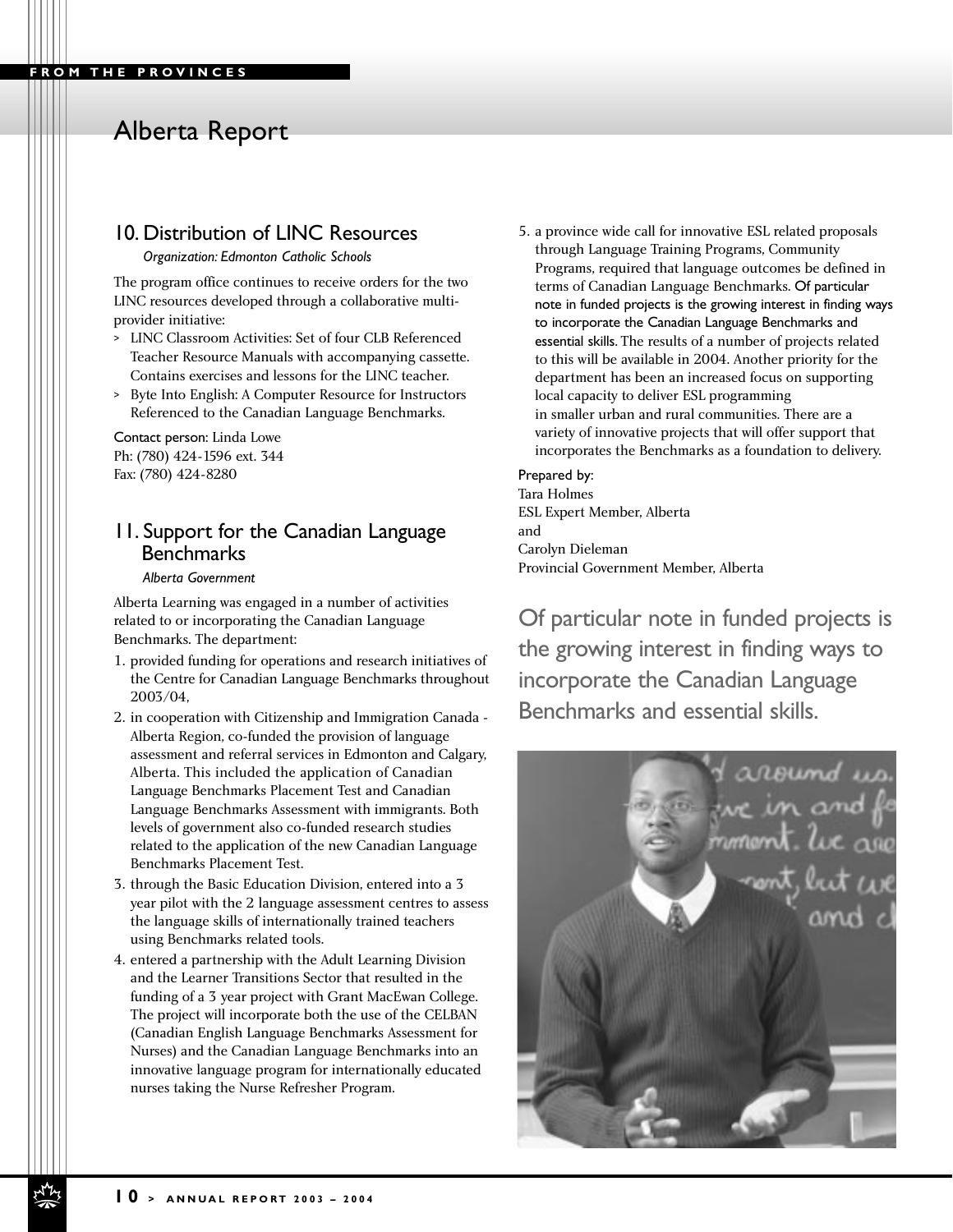#### **FROM THE PROVINCES**

# Alberta Report

## 10. Distribution of LINC Resources

*Organization: Edmonton Catholic Schools*

The program office continues to receive orders for the two LINC resources developed through a collaborative multiprovider initiative:

- > LINC Classroom Activities: Set of four CLB Referenced Teacher Resource Manuals with accompanying cassette. Contains exercises and lessons for the LINC teacher.
- > Byte Into English: A Computer Resource for Instructors Referenced to the Canadian Language Benchmarks.

Contact person: Linda Lowe Ph: (780) 424-1596 ext. 344 Fax: (780) 424-8280

#### 11. Support for the Canadian Language **Benchmarks**

#### *Alberta Government*

Alberta Learning was engaged in a number of activities related to or incorporating the Canadian Language Benchmarks. The department:

- 1. provided funding for operations and research initiatives of the Centre for Canadian Language Benchmarks throughout 2003/04,
- 2. in cooperation with Citizenship and Immigration Canada Alberta Region, co-funded the provision of language assessment and referral services in Edmonton and Calgary, Alberta. This included the application of Canadian Language Benchmarks Placement Test and Canadian Language Benchmarks Assessment with immigrants. Both levels of government also co-funded research studies related to the application of the new Canadian Language Benchmarks Placement Test.
- 3. through the Basic Education Division, entered into a 3 year pilot with the 2 language assessment centres to assess the language skills of internationally trained teachers using Benchmarks related tools.
- 4. entered a partnership with the Adult Learning Division and the Learner Transitions Sector that resulted in the funding of a 3 year project with Grant MacEwan College. The project will incorporate both the use of the CELBAN (Canadian English Language Benchmarks Assessment for Nurses) and the Canadian Language Benchmarks into an innovative language program for internationally educated nurses taking the Nurse Refresher Program.

5. a province wide call for innovative ESL related proposals through Language Training Programs, Community Programs, required that language outcomes be defined in terms of Canadian Language Benchmarks. Of particular note in funded projects is the growing interest in finding ways to incorporate the Canadian Language Benchmarks and essential skills. The results of a number of projects related to this will be available in 2004. Another priority for the department has been an increased focus on supporting local capacity to deliver ESL programming in smaller urban and rural communities. There are a variety of innovative projects that will offer support that incorporates the Benchmarks as a foundation to delivery.

#### Prepared by:

Tara Holmes ESL Expert Member, Alberta and Carolyn Dieleman Provincial Government Member, Alberta

Of particular note in funded projects is the growing interest in finding ways to incorporate the Canadian Language Benchmarks and essential skills.

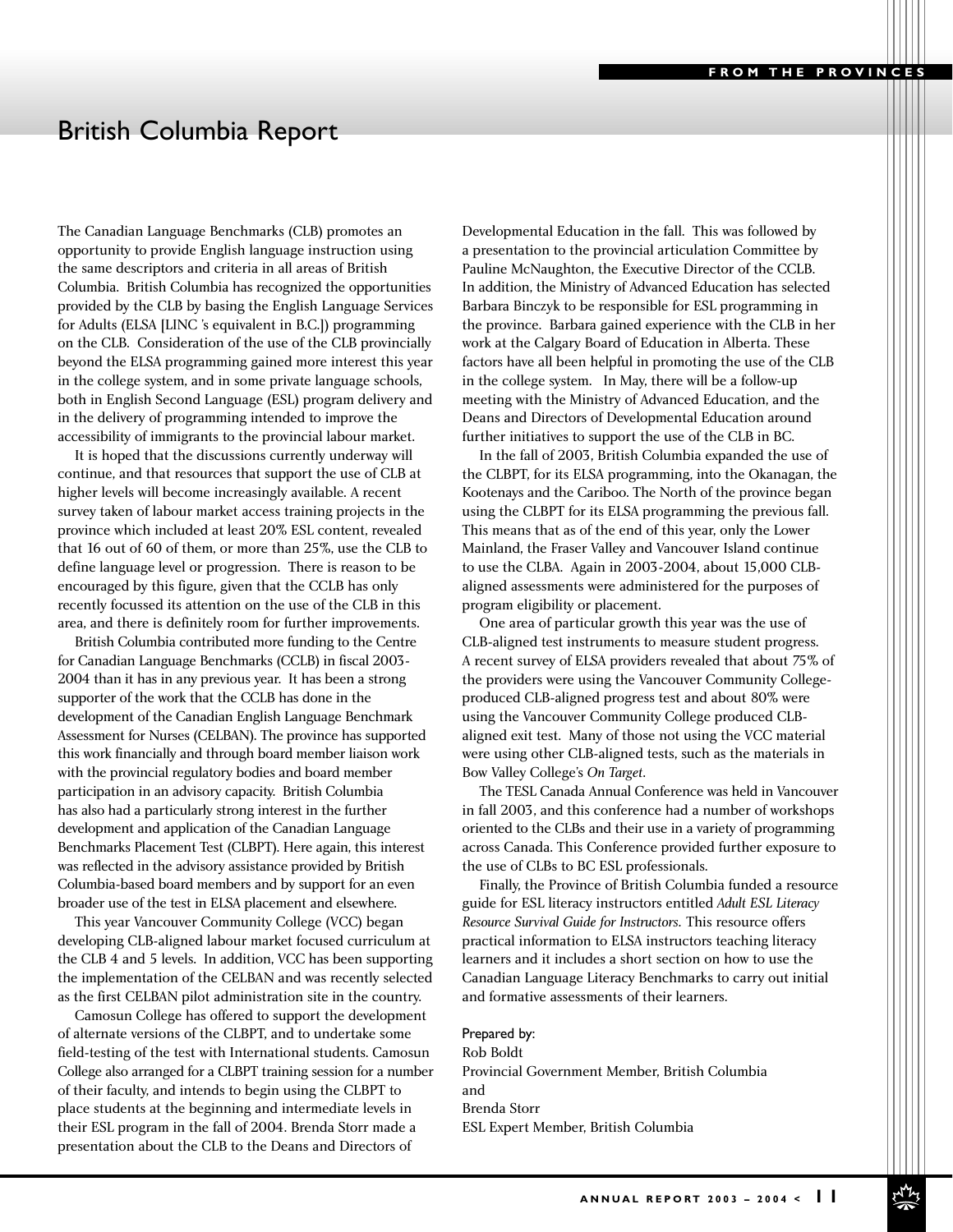# British Columbia Report

The Canadian Language Benchmarks (CLB) promotes an opportunity to provide English language instruction using the same descriptors and criteria in all areas of British Columbia. British Columbia has recognized the opportunities provided by the CLB by basing the English Language Services for Adults (ELSA [LINC 's equivalent in B.C.]) programming on the CLB. Consideration of the use of the CLB provincially beyond the ELSA programming gained more interest this year in the college system, and in some private language schools, both in English Second Language (ESL) program delivery and in the delivery of programming intended to improve the accessibility of immigrants to the provincial labour market.

It is hoped that the discussions currently underway will continue, and that resources that support the use of CLB at higher levels will become increasingly available. A recent survey taken of labour market access training projects in the province which included at least 20% ESL content, revealed that 16 out of 60 of them, or more than 25%, use the CLB to define language level or progression. There is reason to be encouraged by this figure, given that the CCLB has only recently focussed its attention on the use of the CLB in this area, and there is definitely room for further improvements.

British Columbia contributed more funding to the Centre for Canadian Language Benchmarks (CCLB) in fiscal 2003- 2004 than it has in any previous year. It has been a strong supporter of the work that the CCLB has done in the development of the Canadian English Language Benchmark Assessment for Nurses (CELBAN). The province has supported this work financially and through board member liaison work with the provincial regulatory bodies and board member participation in an advisory capacity. British Columbia has also had a particularly strong interest in the further development and application of the Canadian Language Benchmarks Placement Test (CLBPT). Here again, this interest was reflected in the advisory assistance provided by British Columbia-based board members and by support for an even broader use of the test in ELSA placement and elsewhere.

This year Vancouver Community College (VCC) began developing CLB-aligned labour market focused curriculum at the CLB 4 and 5 levels. In addition, VCC has been supporting the implementation of the CELBAN and was recently selected as the first CELBAN pilot administration site in the country.

Camosun College has offered to support the development of alternate versions of the CLBPT, and to undertake some field-testing of the test with International students. Camosun College also arranged for a CLBPT training session for a number of their faculty, and intends to begin using the CLBPT to place students at the beginning and intermediate levels in their ESL program in the fall of 2004. Brenda Storr made a presentation about the CLB to the Deans and Directors of

Developmental Education in the fall. This was followed by a presentation to the provincial articulation Committee by Pauline McNaughton, the Executive Director of the CCLB. In addition, the Ministry of Advanced Education has selected Barbara Binczyk to be responsible for ESL programming in the province. Barbara gained experience with the CLB in her work at the Calgary Board of Education in Alberta. These factors have all been helpful in promoting the use of the CLB in the college system. In May, there will be a follow-up meeting with the Ministry of Advanced Education, and the Deans and Directors of Developmental Education around further initiatives to support the use of the CLB in BC.

In the fall of 2003, British Columbia expanded the use of the CLBPT, for its ELSA programming, into the Okanagan, the Kootenays and the Cariboo. The North of the province began using the CLBPT for its ELSA programming the previous fall. This means that as of the end of this year, only the Lower Mainland, the Fraser Valley and Vancouver Island continue to use the CLBA. Again in 2003-2004, about 15,000 CLBaligned assessments were administered for the purposes of program eligibility or placement.

One area of particular growth this year was the use of CLB-aligned test instruments to measure student progress. A recent survey of ELSA providers revealed that about 75% of the providers were using the Vancouver Community Collegeproduced CLB-aligned progress test and about 80% were using the Vancouver Community College produced CLBaligned exit test. Many of those not using the VCC material were using other CLB-aligned tests, such as the materials in Bow Valley College's *On Target*.

The TESL Canada Annual Conference was held in Vancouver in fall 2003, and this conference had a number of workshops oriented to the CLBs and their use in a variety of programming across Canada. This Conference provided further exposure to the use of CLBs to BC ESL professionals.

Finally, the Province of British Columbia funded a resource guide for ESL literacy instructors entitled *Adult ESL Literacy Resource Survival Guide for Instructors.* This resource offers practical information to ELSA instructors teaching literacy learners and it includes a short section on how to use the Canadian Language Literacy Benchmarks to carry out initial and formative assessments of their learners.

Prepared by: Rob Boldt

Provincial Government Member, British Columbia and Brenda Storr ESL Expert Member, British Columbia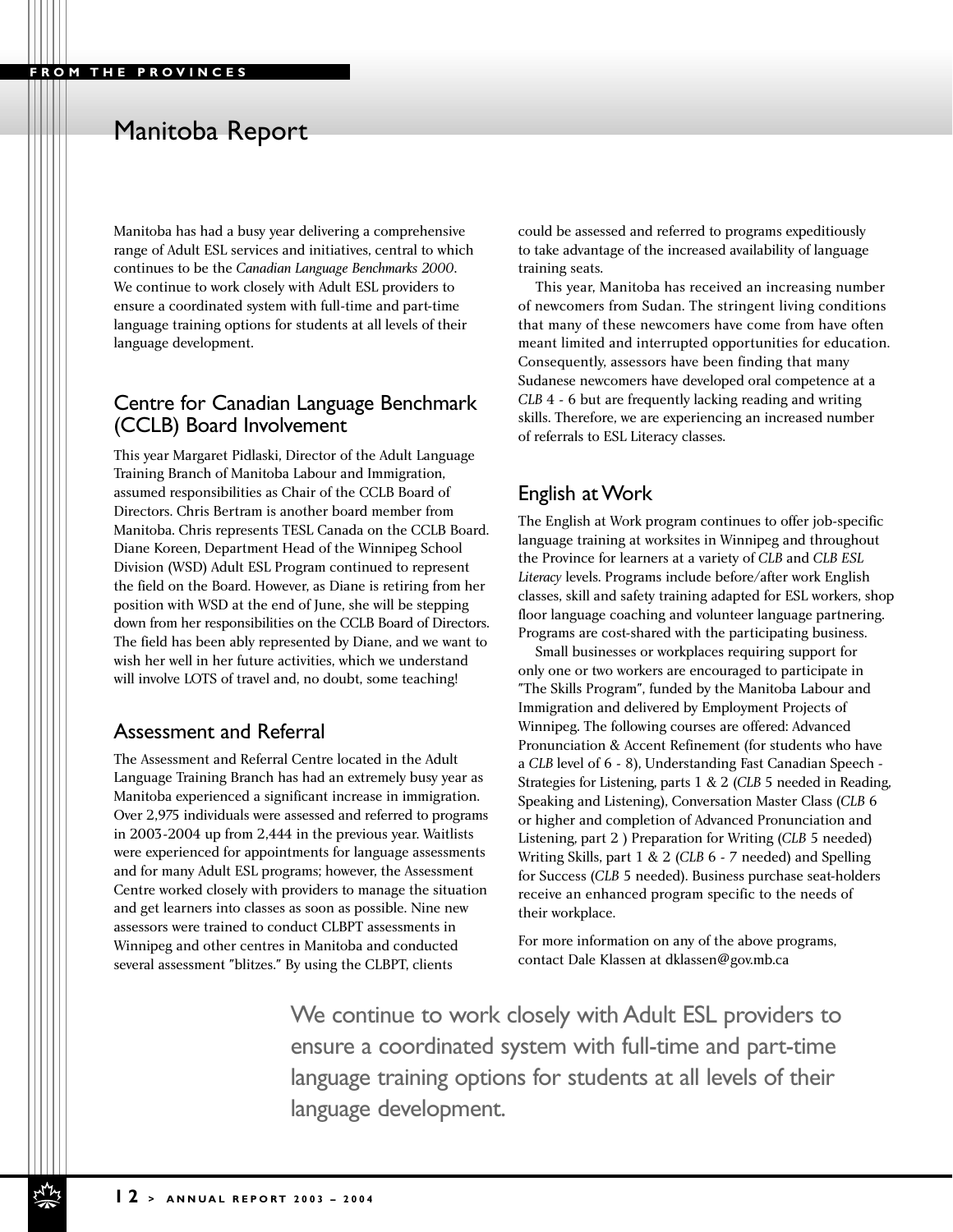# Manitoba Report

Manitoba has had a busy year delivering a comprehensive range of Adult ESL services and initiatives, central to which continues to be the *Canadian Language Benchmarks 2000*. We continue to work closely with Adult ESL providers to ensure a coordinated system with full-time and part-time language training options for students at all levels of their language development.

#### Centre for Canadian Language Benchmark (CCLB) Board Involvement

This year Margaret Pidlaski, Director of the Adult Language Training Branch of Manitoba Labour and Immigration, assumed responsibilities as Chair of the CCLB Board of Directors. Chris Bertram is another board member from Manitoba. Chris represents TESL Canada on the CCLB Board. Diane Koreen, Department Head of the Winnipeg School Division (WSD) Adult ESL Program continued to represent the field on the Board. However, as Diane is retiring from her position with WSD at the end of June, she will be stepping down from her responsibilities on the CCLB Board of Directors. The field has been ably represented by Diane, and we want to wish her well in her future activities, which we understand will involve LOTS of travel and, no doubt, some teaching!

#### Assessment and Referral

The Assessment and Referral Centre located in the Adult Language Training Branch has had an extremely busy year as Manitoba experienced a significant increase in immigration. Over 2,975 individuals were assessed and referred to programs in 2003-2004 up from 2,444 in the previous year. Waitlists were experienced for appointments for language assessments and for many Adult ESL programs; however, the Assessment Centre worked closely with providers to manage the situation and get learners into classes as soon as possible. Nine new assessors were trained to conduct CLBPT assessments in Winnipeg and other centres in Manitoba and conducted several assessment "blitzes." By using the CLBPT, clients

could be assessed and referred to programs expeditiously to take advantage of the increased availability of language training seats.

This year, Manitoba has received an increasing number of newcomers from Sudan. The stringent living conditions that many of these newcomers have come from have often meant limited and interrupted opportunities for education. Consequently, assessors have been finding that many Sudanese newcomers have developed oral competence at a *CLB* 4 - 6 but are frequently lacking reading and writing skills. Therefore, we are experiencing an increased number of referrals to ESL Literacy classes.

#### English at Work

The English at Work program continues to offer job-specific language training at worksites in Winnipeg and throughout the Province for learners at a variety of *CLB* and *CLB ESL Literacy* levels. Programs include before/after work English classes, skill and safety training adapted for ESL workers, shop floor language coaching and volunteer language partnering. Programs are cost-shared with the participating business.

Small businesses or workplaces requiring support for only one or two workers are encouraged to participate in "The Skills Program", funded by the Manitoba Labour and Immigration and delivered by Employment Projects of Winnipeg. The following courses are offered: Advanced Pronunciation & Accent Refinement (for students who have a *CLB* level of 6 - 8), Understanding Fast Canadian Speech - Strategies for Listening, parts 1 & 2 (*CLB* 5 needed in Reading, Speaking and Listening), Conversation Master Class (*CLB* 6 or higher and completion of Advanced Pronunciation and Listening, part 2 ) Preparation for Writing (*CLB* 5 needed) Writing Skills, part 1 & 2 (*CLB* 6 - 7 needed) and Spelling for Success (*CLB* 5 needed). Business purchase seat-holders receive an enhanced program specific to the needs of their workplace.

For more information on any of the above programs, contact Dale Klassen at dklassen@gov.mb.ca

We continue to work closely with Adult ESL providers to ensure a coordinated system with full-time and part-time language training options for students at all levels of their language development.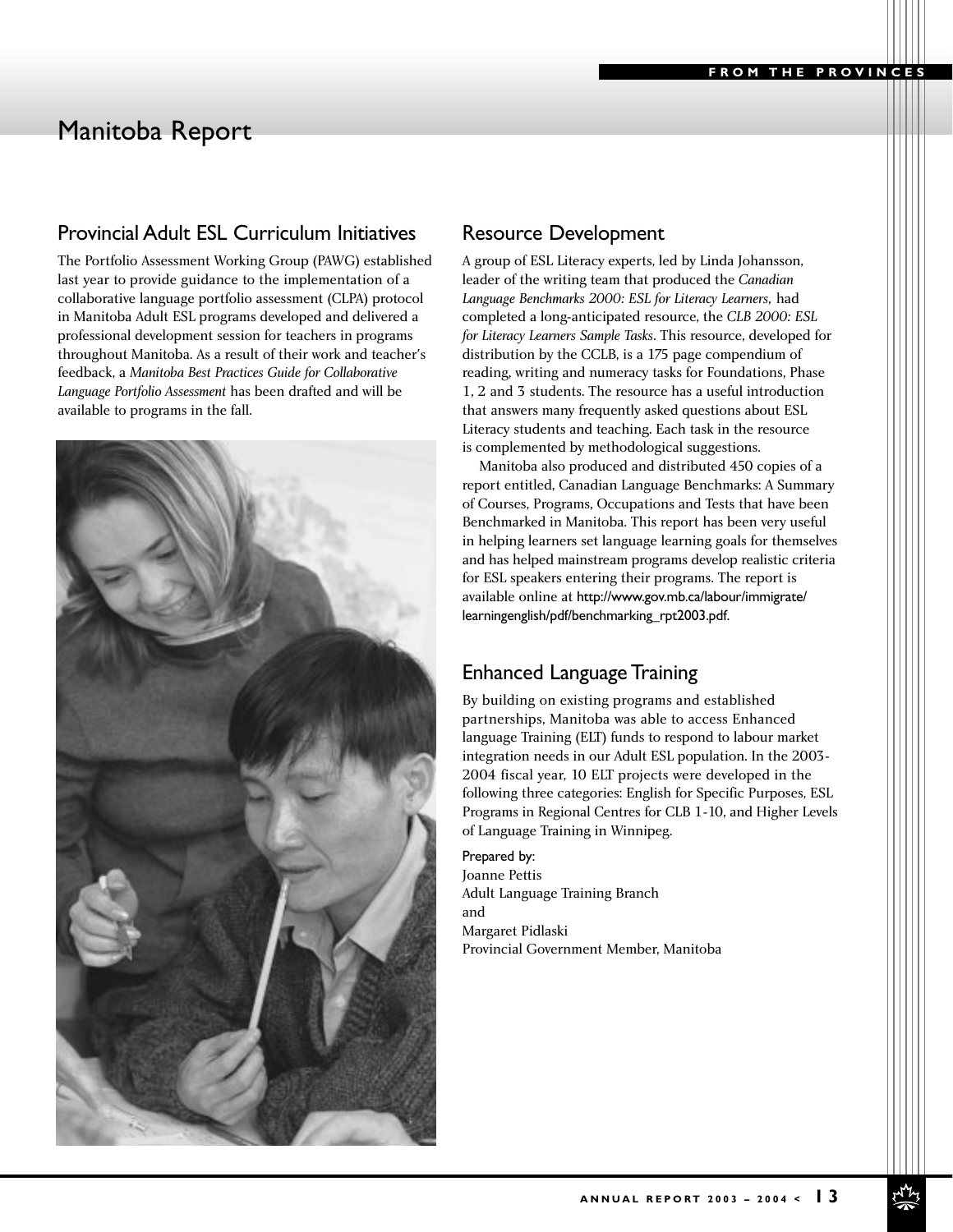# Manitoba Report

## Provincial Adult ESL Curriculum Initiatives

The Portfolio Assessment Working Group (PAWG) established last year to provide guidance to the implementation of a collaborative language portfolio assessment (CLPA) protocol in Manitoba Adult ESL programs developed and delivered a professional development session for teachers in programs throughout Manitoba. As a result of their work and teacher's feedback, a *Manitoba Best Practices Guide for Collaborative Language Portfolio Assessment* has been drafted and will be available to programs in the fall.



#### Resource Development

A group of ESL Literacy experts, led by Linda Johansson, leader of the writing team that produced the *Canadian Language Benchmarks 2000: ESL for Literacy Learners,* had completed a long-anticipated resource, the *CLB 2000: ESL for Literacy Learners Sample Tasks*. This resource, developed for distribution by the CCLB, is a 175 page compendium of reading, writing and numeracy tasks for Foundations, Phase 1, 2 and 3 students. The resource has a useful introduction that answers many frequently asked questions about ESL Literacy students and teaching. Each task in the resource is complemented by methodological suggestions.

Manitoba also produced and distributed 450 copies of a report entitled, Canadian Language Benchmarks: A Summary of Courses, Programs, Occupations and Tests that have been Benchmarked in Manitoba. This report has been very useful in helping learners set language learning goals for themselves and has helped mainstream programs develop realistic criteria for ESL speakers entering their programs. The report is available online at http://www.gov.mb.ca/labour/immigrate/ learningenglish/pdf/benchmarking\_rpt2003.pdf.

## Enhanced Language Training

By building on existing programs and established partnerships, Manitoba was able to access Enhanced language Training (ELT) funds to respond to labour market integration needs in our Adult ESL population. In the 2003- 2004 fiscal year, 10 ELT projects were developed in the following three categories: English for Specific Purposes, ESL Programs in Regional Centres for CLB 1-10, and Higher Levels of Language Training in Winnipeg.

Prepared by: Joanne Pettis Adult Language Training Branch and Margaret Pidlaski Provincial Government Member, Manitoba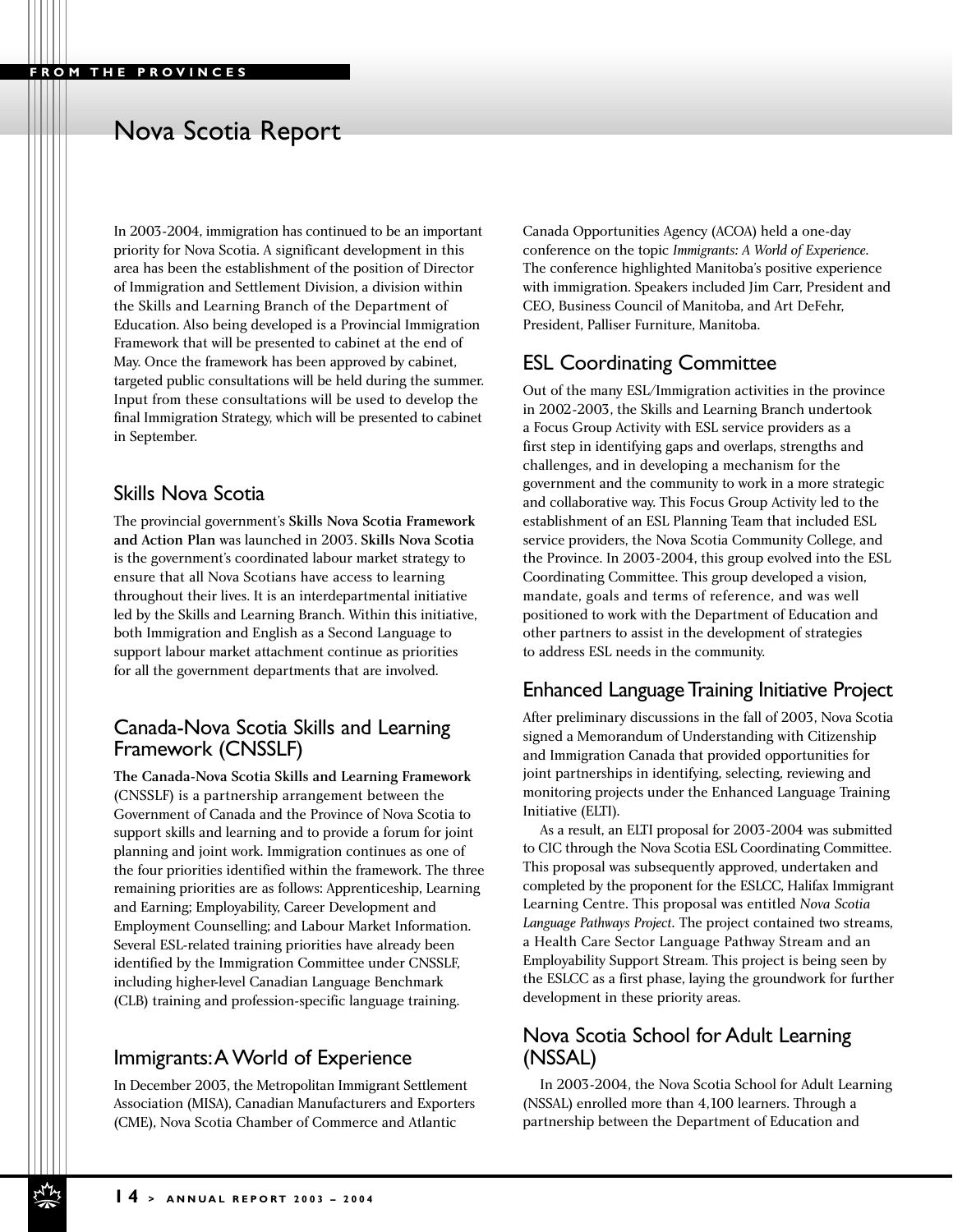# Nova Scotia Report

In 2003-2004, immigration has continued to be an important priority for Nova Scotia. A significant development in this area has been the establishment of the position of Director of Immigration and Settlement Division, a division within the Skills and Learning Branch of the Department of Education. Also being developed is a Provincial Immigration Framework that will be presented to cabinet at the end of May. Once the framework has been approved by cabinet, targeted public consultations will be held during the summer. Input from these consultations will be used to develop the final Immigration Strategy, which will be presented to cabinet in September.

## Skills Nova Scotia

The provincial government's Skills Nova Scotia Framework and Action Plan was launched in 2003. Skills Nova Scotia is the government's coordinated labour market strategy to ensure that all Nova Scotians have access to learning throughout their lives. It is an interdepartmental initiative led by the Skills and Learning Branch. Within this initiative, both Immigration and English as a Second Language to support labour market attachment continue as priorities for all the government departments that are involved.

## Canada-Nova Scotia Skills and Learning Framework (CNSSLF)

The Canada-Nova Scotia Skills and Learning Framework (CNSSLF) is a partnership arrangement between the Government of Canada and the Province of Nova Scotia to support skills and learning and to provide a forum for joint planning and joint work. Immigration continues as one of the four priorities identified within the framework. The three remaining priorities are as follows: Apprenticeship, Learning and Earning; Employability, Career Development and Employment Counselling; and Labour Market Information. Several ESL-related training priorities have already been identified by the Immigration Committee under CNSSLF, including higher-level Canadian Language Benchmark (CLB) training and profession-specific language training.

## Immigrants:A World of Experience

In December 2003, the Metropolitan Immigrant Settlement Association (MISA), Canadian Manufacturers and Exporters (CME), Nova Scotia Chamber of Commerce and Atlantic

Canada Opportunities Agency (ACOA) held a one-day conference on the topic *Immigrants: A World of Experience.* The conference highlighted Manitoba's positive experience with immigration. Speakers included Jim Carr, President and CEO, Business Council of Manitoba, and Art DeFehr, President, Palliser Furniture, Manitoba.

## ESL Coordinating Committee

Out of the many ESL/Immigration activities in the province in 2002-2003, the Skills and Learning Branch undertook a Focus Group Activity with ESL service providers as a first step in identifying gaps and overlaps, strengths and challenges, and in developing a mechanism for the government and the community to work in a more strategic and collaborative way. This Focus Group Activity led to the establishment of an ESL Planning Team that included ESL service providers, the Nova Scotia Community College, and the Province. In 2003-2004, this group evolved into the ESL Coordinating Committee. This group developed a vision, mandate, goals and terms of reference, and was well positioned to work with the Department of Education and other partners to assist in the development of strategies to address ESL needs in the community.

## Enhanced Language Training Initiative Project

After preliminary discussions in the fall of 2003, Nova Scotia signed a Memorandum of Understanding with Citizenship and Immigration Canada that provided opportunities for joint partnerships in identifying, selecting, reviewing and monitoring projects under the Enhanced Language Training Initiative (ELTI).

As a result, an ELTI proposal for 2003-2004 was submitted to CIC through the Nova Scotia ESL Coordinating Committee. This proposal was subsequently approved, undertaken and completed by the proponent for the ESLCC, Halifax Immigrant Learning Centre. This proposal was entitled *Nova Scotia Language Pathways Project.* The project contained two streams, a Health Care Sector Language Pathway Stream and an Employability Support Stream. This project is being seen by the ESLCC as a first phase, laying the groundwork for further development in these priority areas.

## Nova Scotia School for Adult Learning (NSSAL)

In 2003-2004, the Nova Scotia School for Adult Learning (NSSAL) enrolled more than 4,100 learners. Through a partnership between the Department of Education and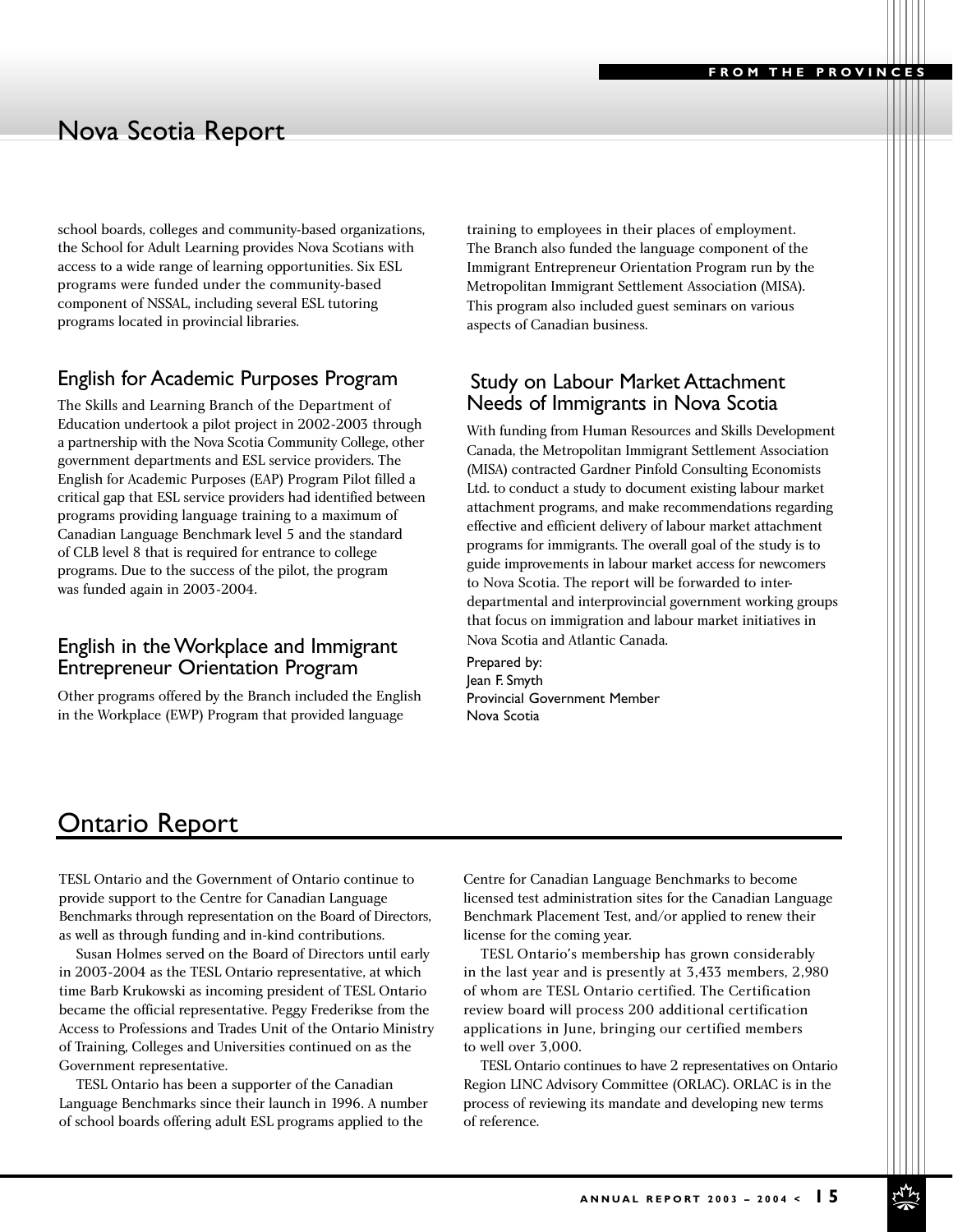# Nova Scotia Report

school boards, colleges and community-based organizations, the School for Adult Learning provides Nova Scotians with access to a wide range of learning opportunities. Six ESL programs were funded under the community-based component of NSSAL, including several ESL tutoring programs located in provincial libraries.

## English for Academic Purposes Program

The Skills and Learning Branch of the Department of Education undertook a pilot project in 2002-2003 through a partnership with the Nova Scotia Community College, other government departments and ESL service providers. The English for Academic Purposes (EAP) Program Pilot filled a critical gap that ESL service providers had identified between programs providing language training to a maximum of Canadian Language Benchmark level 5 and the standard of CLB level 8 that is required for entrance to college programs. Due to the success of the pilot, the program was funded again in 2003-2004.

## English in the Workplace and Immigrant Entrepreneur Orientation Program

Other programs offered by the Branch included the English in the Workplace (EWP) Program that provided language

training to employees in their places of employment. The Branch also funded the language component of the Immigrant Entrepreneur Orientation Program run by the Metropolitan Immigrant Settlement Association (MISA). This program also included guest seminars on various aspects of Canadian business.

#### Study on Labour Market Attachment Needs of Immigrants in Nova Scotia

With funding from Human Resources and Skills Development Canada, the Metropolitan Immigrant Settlement Association (MISA) contracted Gardner Pinfold Consulting Economists Ltd. to conduct a study to document existing labour market attachment programs, and make recommendations regarding effective and efficient delivery of labour market attachment programs for immigrants. The overall goal of the study is to guide improvements in labour market access for newcomers to Nova Scotia. The report will be forwarded to interdepartmental and interprovincial government working groups that focus on immigration and labour market initiatives in Nova Scotia and Atlantic Canada.

Prepared by: Jean F. Smyth Provincial Government Member Nova Scotia

## Ontario Report

TESL Ontario and the Government of Ontario continue to provide support to the Centre for Canadian Language Benchmarks through representation on the Board of Directors, as well as through funding and in-kind contributions.

Susan Holmes served on the Board of Directors until early in 2003-2004 as the TESL Ontario representative, at which time Barb Krukowski as incoming president of TESL Ontario became the official representative. Peggy Frederikse from the Access to Professions and Trades Unit of the Ontario Ministry of Training, Colleges and Universities continued on as the Government representative.

TESL Ontario has been a supporter of the Canadian Language Benchmarks since their launch in 1996. A number of school boards offering adult ESL programs applied to the

Centre for Canadian Language Benchmarks to become licensed test administration sites for the Canadian Language Benchmark Placement Test, and/or applied to renew their license for the coming year.

TESL Ontario's membership has grown considerably in the last year and is presently at 3,433 members, 2,980 of whom are TESL Ontario certified. The Certification review board will process 200 additional certification applications in June, bringing our certified members to well over 3,000.

TESL Ontario continues to have 2 representatives on Ontario Region LINC Advisory Committee (ORLAC). ORLAC is in the process of reviewing its mandate and developing new terms of reference.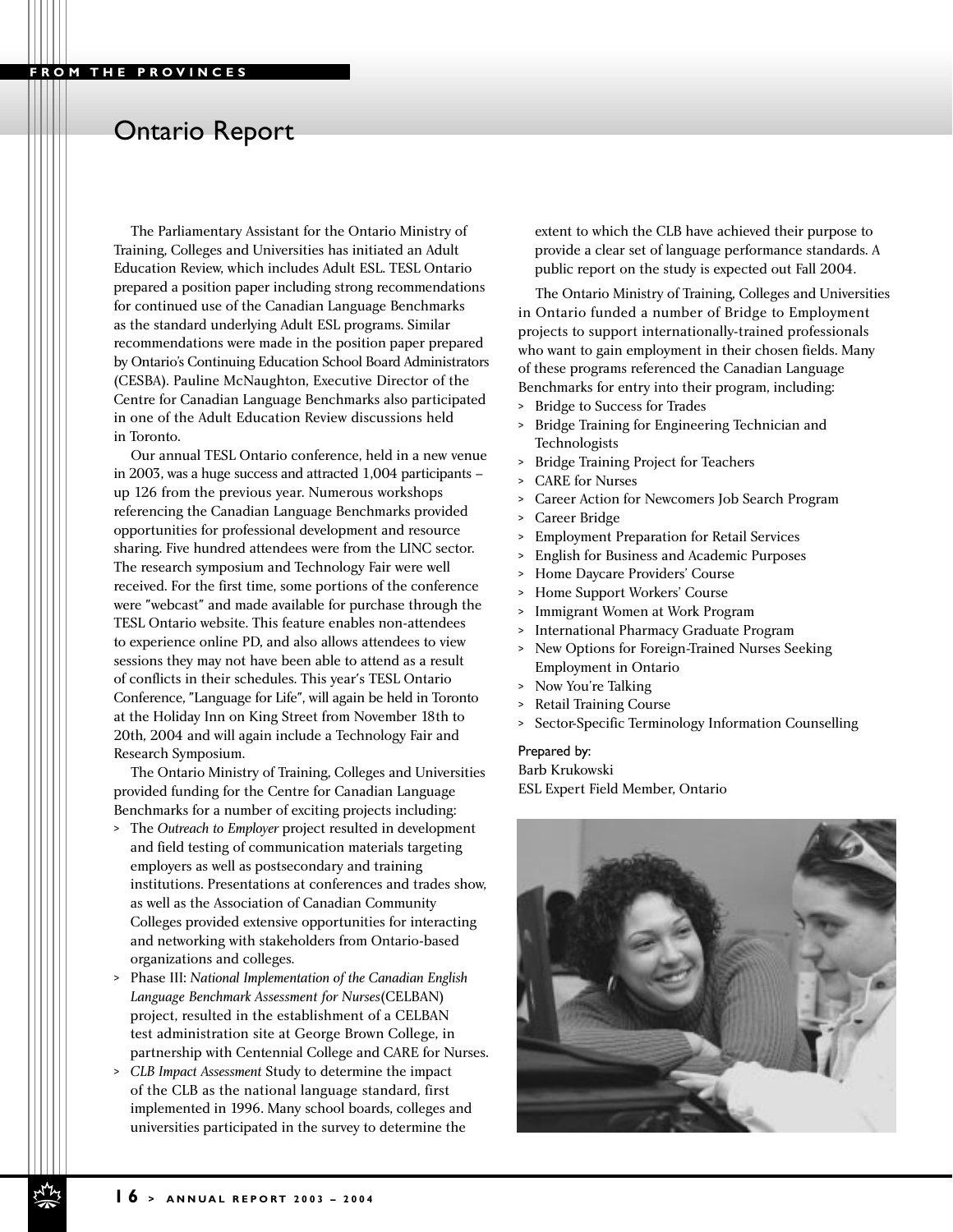# Ontario Report

The Parliamentary Assistant for the Ontario Ministry of Training, Colleges and Universities has initiated an Adult Education Review, which includes Adult ESL. TESL Ontario prepared a position paper including strong recommendations for continued use of the Canadian Language Benchmarks as the standard underlying Adult ESL programs. Similar recommendations were made in the position paper prepared by Ontario's Continuing Education School Board Administrators (CESBA). Pauline McNaughton, Executive Director of the Centre for Canadian Language Benchmarks also participated in one of the Adult Education Review discussions held in Toronto.

Our annual TESL Ontario conference, held in a new venue in 2003, was a huge success and attracted 1,004 participants – up 126 from the previous year. Numerous workshops referencing the Canadian Language Benchmarks provided opportunities for professional development and resource sharing. Five hundred attendees were from the LINC sector. The research symposium and Technology Fair were well received. For the first time, some portions of the conference were "webcast" and made available for purchase through the TESL Ontario website. This feature enables non-attendees to experience online PD, and also allows attendees to view sessions they may not have been able to attend as a result of conflicts in their schedules. This year's TESL Ontario Conference, "Language for Life", will again be held in Toronto at the Holiday Inn on King Street from November 18th to 20th, 2004 and will again include a Technology Fair and Research Symposium.

The Ontario Ministry of Training, Colleges and Universities provided funding for the Centre for Canadian Language Benchmarks for a number of exciting projects including:

- > The *Outreach to Employer* project resulted in development and field testing of communication materials targeting employers as well as postsecondary and training institutions. Presentations at conferences and trades show, as well as the Association of Canadian Community Colleges provided extensive opportunities for interacting and networking with stakeholders from Ontario-based organizations and colleges.
- > Phase III: *National Implementation of the Canadian English Language Benchmark Assessment for Nurses*(CELBAN) project, resulted in the establishment of a CELBAN test administration site at George Brown College, in partnership with Centennial College and CARE for Nurses.
- > *CLB Impact Assessment* Study to determine the impact of the CLB as the national language standard, first implemented in 1996. Many school boards, colleges and universities participated in the survey to determine the

extent to which the CLB have achieved their purpose to provide a clear set of language performance standards. A public report on the study is expected out Fall 2004.

The Ontario Ministry of Training, Colleges and Universities in Ontario funded a number of Bridge to Employment projects to support internationally-trained professionals who want to gain employment in their chosen fields. Many of these programs referenced the Canadian Language Benchmarks for entry into their program, including:

- > Bridge to Success for Trades
- > Bridge Training for Engineering Technician and Technologists
- > Bridge Training Project for Teachers
- > CARE for Nurses
- > Career Action for Newcomers Job Search Program
- > Career Bridge
- > Employment Preparation for Retail Services
- > English for Business and Academic Purposes
- Home Daycare Providers' Course
- > Home Support Workers' Course
- > Immigrant Women at Work Program
- > International Pharmacy Graduate Program
- > New Options for Foreign-Trained Nurses Seeking Employment in Ontario
- > Now You're Talking
- > Retail Training Course
- > Sector-Specific Terminology Information Counselling

#### Prepared by:

Barb Krukowski ESL Expert Field Member, Ontario

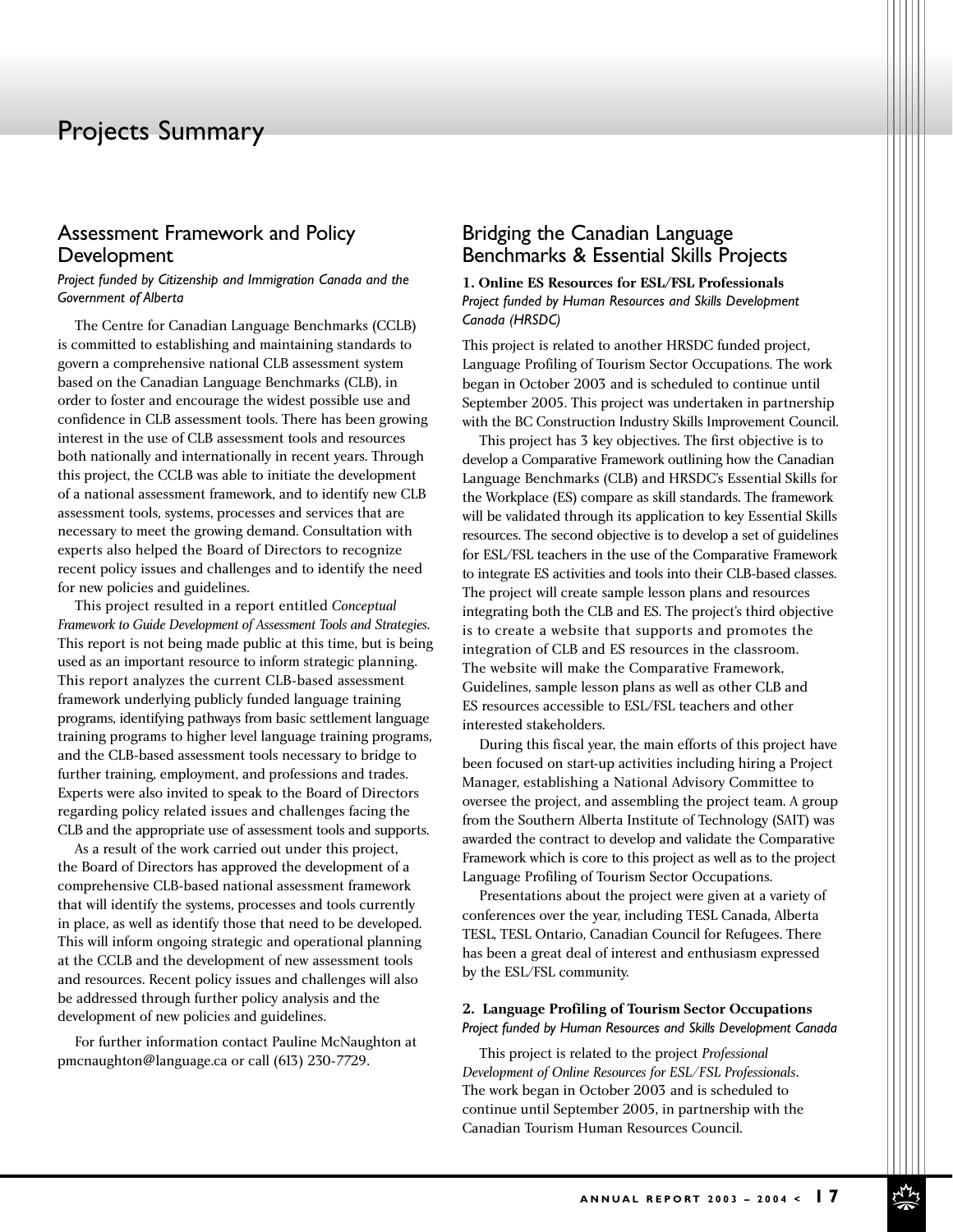## Assessment Framework and Policy Development

*Project funded by Citizenship and Immigration Canada and the Government of Alberta*

The Centre for Canadian Language Benchmarks (CCLB) is committed to establishing and maintaining standards to govern a comprehensive national CLB assessment system based on the Canadian Language Benchmarks (CLB), in order to foster and encourage the widest possible use and confidence in CLB assessment tools. There has been growing interest in the use of CLB assessment tools and resources both nationally and internationally in recent years. Through this project, the CCLB was able to initiate the development of a national assessment framework, and to identify new CLB assessment tools, systems, processes and services that are necessary to meet the growing demand. Consultation with experts also helped the Board of Directors to recognize recent policy issues and challenges and to identify the need for new policies and guidelines.

This project resulted in a report entitled *Conceptual Framework to Guide Development of Assessment Tools and Strategies*. This report is not being made public at this time, but is being used as an important resource to inform strategic planning. This report analyzes the current CLB-based assessment framework underlying publicly funded language training programs, identifying pathways from basic settlement language training programs to higher level language training programs, and the CLB-based assessment tools necessary to bridge to further training, employment, and professions and trades. Experts were also invited to speak to the Board of Directors regarding policy related issues and challenges facing the CLB and the appropriate use of assessment tools and supports.

As a result of the work carried out under this project, the Board of Directors has approved the development of a comprehensive CLB-based national assessment framework that will identify the systems, processes and tools currently in place, as well as identify those that need to be developed. This will inform ongoing strategic and operational planning at the CCLB and the development of new assessment tools and resources. Recent policy issues and challenges will also be addressed through further policy analysis and the development of new policies and guidelines.

For further information contact Pauline McNaughton at pmcnaughton@language.ca or call (613) 230-7729.

## Bridging the Canadian Language Benchmarks & Essential Skills Projects

**1. Online ES Resources for ESL/FSL Professionals** *Project funded by Human Resources and Skills Development Canada (HRSDC)* 

This project is related to another HRSDC funded project, Language Profiling of Tourism Sector Occupations. The work began in October 2003 and is scheduled to continue until September 2005. This project was undertaken in partnership with the BC Construction Industry Skills Improvement Council.

This project has 3 key objectives. The first objective is to develop a Comparative Framework outlining how the Canadian Language Benchmarks (CLB) and HRSDC's Essential Skills for the Workplace (ES) compare as skill standards. The framework will be validated through its application to key Essential Skills resources. The second objective is to develop a set of guidelines for ESL/FSL teachers in the use of the Comparative Framework to integrate ES activities and tools into their CLB-based classes. The project will create sample lesson plans and resources integrating both the CLB and ES. The project's third objective is to create a website that supports and promotes the integration of CLB and ES resources in the classroom. The website will make the Comparative Framework, Guidelines, sample lesson plans as well as other CLB and ES resources accessible to ESL/FSL teachers and other interested stakeholders.

During this fiscal year, the main efforts of this project have been focused on start-up activities including hiring a Project Manager, establishing a National Advisory Committee to oversee the project, and assembling the project team. A group from the Southern Alberta Institute of Technology (SAIT) was awarded the contract to develop and validate the Comparative Framework which is core to this project as well as to the project Language Profiling of Tourism Sector Occupations.

Presentations about the project were given at a variety of conferences over the year, including TESL Canada, Alberta TESL, TESL Ontario, Canadian Council for Refugees. There has been a great deal of interest and enthusiasm expressed by the ESL/FSL community.

#### **2. Language Profiling of Tourism Sector Occupations**  *Project funded by Human Resources and Skills Development Canada*

This project is related to the project *Professional Development of Online Resources for ESL/FSL Professionals*. The work began in October 2003 and is scheduled to continue until September 2005, in partnership with the Canadian Tourism Human Resources Council.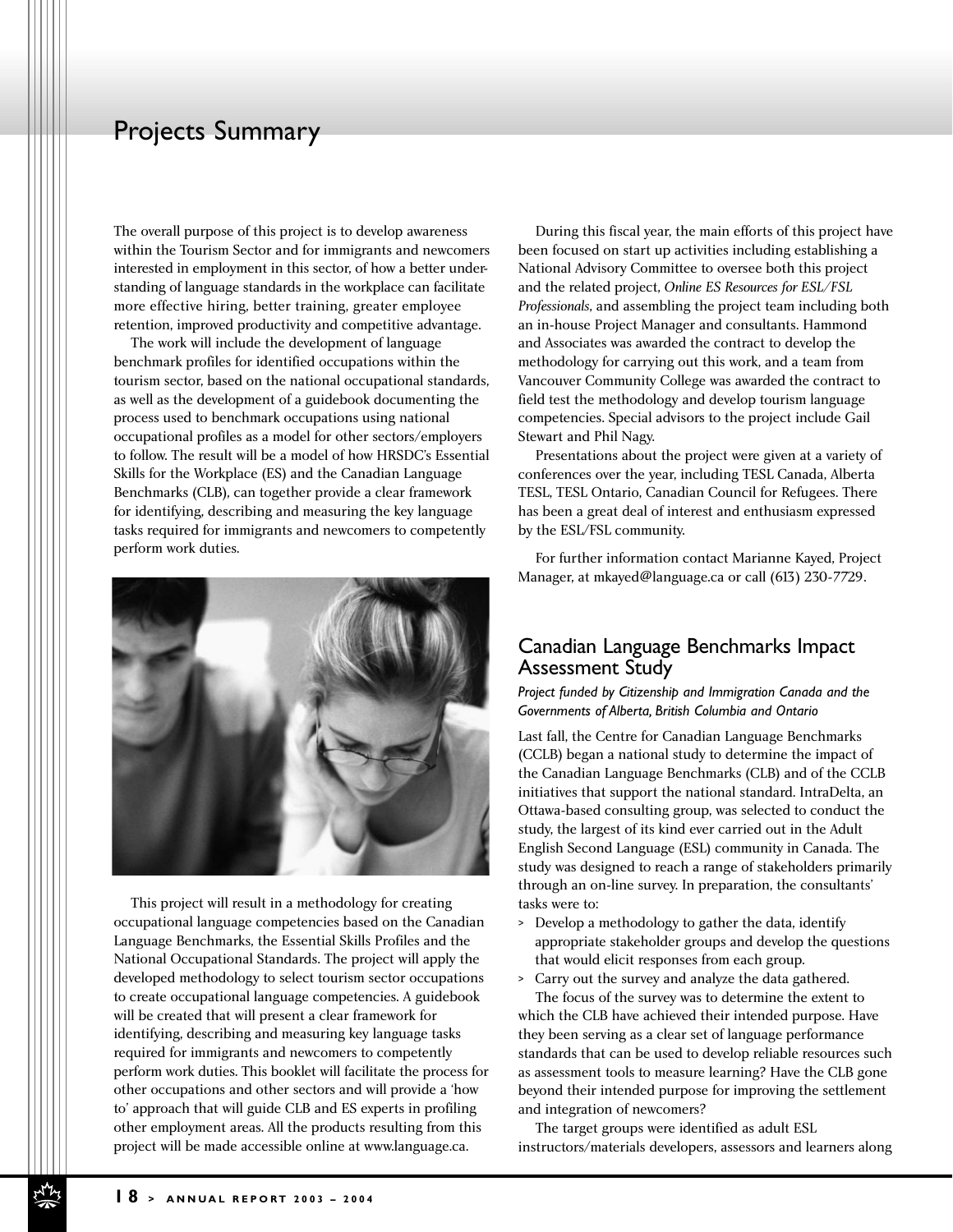The overall purpose of this project is to develop awareness within the Tourism Sector and for immigrants and newcomers interested in employment in this sector, of how a better understanding of language standards in the workplace can facilitate more effective hiring, better training, greater employee retention, improved productivity and competitive advantage.

The work will include the development of language benchmark profiles for identified occupations within the tourism sector, based on the national occupational standards, as well as the development of a guidebook documenting the process used to benchmark occupations using national occupational profiles as a model for other sectors/employers to follow. The result will be a model of how HRSDC's Essential Skills for the Workplace (ES) and the Canadian Language Benchmarks (CLB), can together provide a clear framework for identifying, describing and measuring the key language tasks required for immigrants and newcomers to competently perform work duties.



This project will result in a methodology for creating occupational language competencies based on the Canadian Language Benchmarks, the Essential Skills Profiles and the National Occupational Standards. The project will apply the developed methodology to select tourism sector occupations to create occupational language competencies. A guidebook will be created that will present a clear framework for identifying, describing and measuring key language tasks required for immigrants and newcomers to competently perform work duties. This booklet will facilitate the process for other occupations and other sectors and will provide a 'how to' approach that will guide CLB and ES experts in profiling other employment areas. All the products resulting from this project will be made accessible online at www.language.ca.

During this fiscal year, the main efforts of this project have been focused on start up activities including establishing a National Advisory Committee to oversee both this project and the related project, *Online ES Resources for ESL/FSL Professionals*, and assembling the project team including both an in-house Project Manager and consultants. Hammond and Associates was awarded the contract to develop the methodology for carrying out this work, and a team from Vancouver Community College was awarded the contract to field test the methodology and develop tourism language competencies. Special advisors to the project include Gail Stewart and Phil Nagy.

Presentations about the project were given at a variety of conferences over the year, including TESL Canada, Alberta TESL, TESL Ontario, Canadian Council for Refugees. There has been a great deal of interest and enthusiasm expressed by the ESL/FSL community.

For further information contact Marianne Kayed, Project Manager, at mkayed@language.ca or call (613) 230-7729.

#### Canadian Language Benchmarks Impact Assessment Study

*Project funded by Citizenship and Immigration Canada and the Governments of Alberta, British Columbia and Ontario*

Last fall, the Centre for Canadian Language Benchmarks (CCLB) began a national study to determine the impact of the Canadian Language Benchmarks (CLB) and of the CCLB initiatives that support the national standard. IntraDelta, an Ottawa-based consulting group, was selected to conduct the study, the largest of its kind ever carried out in the Adult English Second Language (ESL) community in Canada. The study was designed to reach a range of stakeholders primarily through an on-line survey. In preparation, the consultants' tasks were to:

- > Develop a methodology to gather the data, identify appropriate stakeholder groups and develop the questions that would elicit responses from each group.
- > Carry out the survey and analyze the data gathered. The focus of the survey was to determine the extent to

which the CLB have achieved their intended purpose. Have they been serving as a clear set of language performance standards that can be used to develop reliable resources such as assessment tools to measure learning? Have the CLB gone beyond their intended purpose for improving the settlement and integration of newcomers?

The target groups were identified as adult ESL instructors/materials developers, assessors and learners along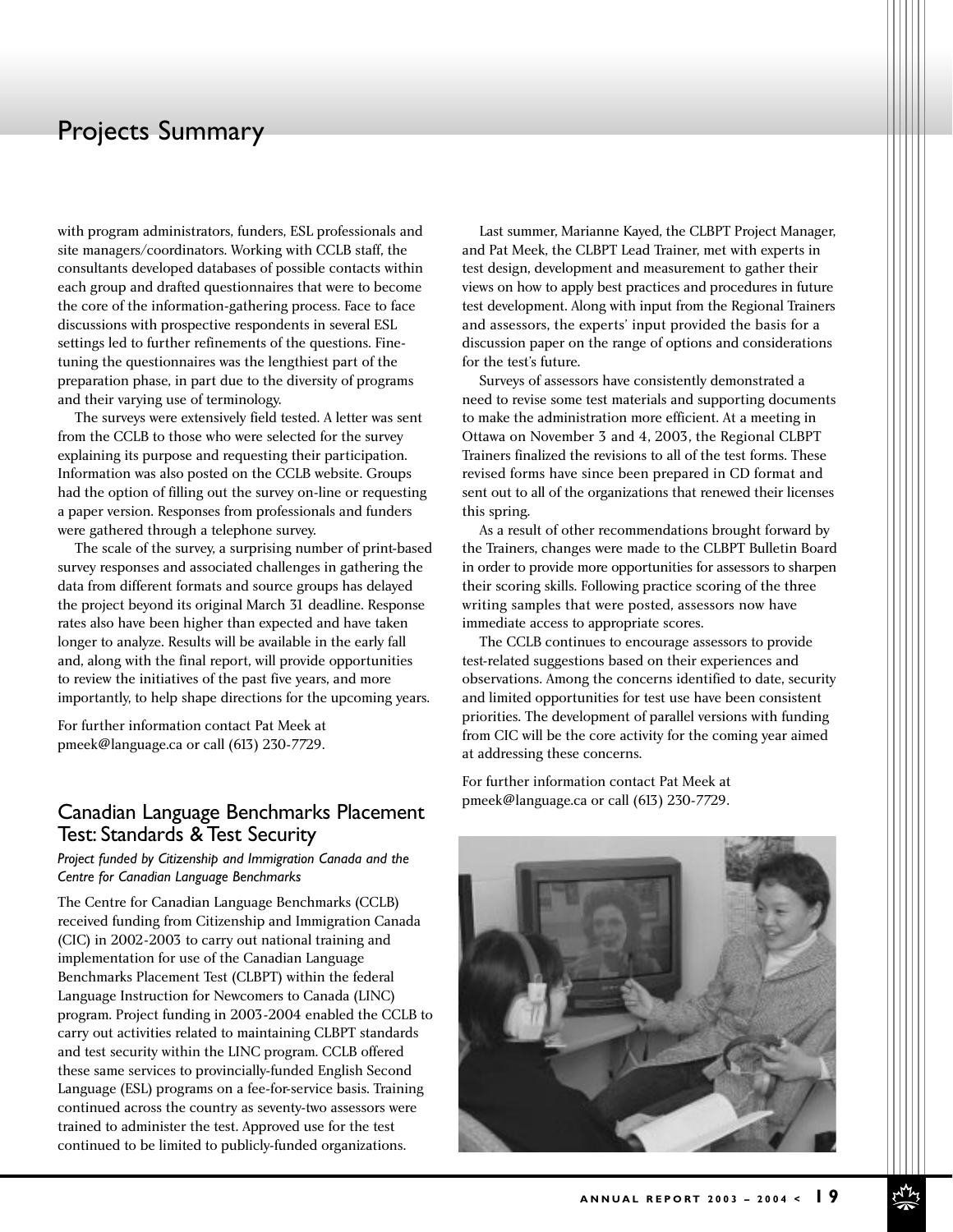with program administrators, funders, ESL professionals and site managers/coordinators. Working with CCLB staff, the consultants developed databases of possible contacts within each group and drafted questionnaires that were to become the core of the information-gathering process. Face to face discussions with prospective respondents in several ESL settings led to further refinements of the questions. Finetuning the questionnaires was the lengthiest part of the preparation phase, in part due to the diversity of programs and their varying use of terminology.

The surveys were extensively field tested. A letter was sent from the CCLB to those who were selected for the survey explaining its purpose and requesting their participation. Information was also posted on the CCLB website. Groups had the option of filling out the survey on-line or requesting a paper version. Responses from professionals and funders were gathered through a telephone survey.

The scale of the survey, a surprising number of print-based survey responses and associated challenges in gathering the data from different formats and source groups has delayed the project beyond its original March 31 deadline. Response rates also have been higher than expected and have taken longer to analyze. Results will be available in the early fall and, along with the final report, will provide opportunities to review the initiatives of the past five years, and more importantly, to help shape directions for the upcoming years.

For further information contact Pat Meek at pmeek@language.ca or call (613) 230-7729.

## Canadian Language Benchmarks Placement Test: Standards & Test Security

*Project funded by Citizenship and Immigration Canada and the Centre for Canadian Language Benchmarks*

The Centre for Canadian Language Benchmarks (CCLB) received funding from Citizenship and Immigration Canada (CIC) in 2002-2003 to carry out national training and implementation for use of the Canadian Language Benchmarks Placement Test (CLBPT) within the federal Language Instruction for Newcomers to Canada (LINC) program. Project funding in 2003-2004 enabled the CCLB to carry out activities related to maintaining CLBPT standards and test security within the LINC program. CCLB offered these same services to provincially-funded English Second Language (ESL) programs on a fee-for-service basis. Training continued across the country as seventy-two assessors were trained to administer the test. Approved use for the test continued to be limited to publicly-funded organizations.

Last summer, Marianne Kayed, the CLBPT Project Manager, and Pat Meek, the CLBPT Lead Trainer, met with experts in test design, development and measurement to gather their views on how to apply best practices and procedures in future test development. Along with input from the Regional Trainers and assessors, the experts' input provided the basis for a discussion paper on the range of options and considerations for the test's future.

Surveys of assessors have consistently demonstrated a need to revise some test materials and supporting documents to make the administration more efficient. At a meeting in Ottawa on November 3 and 4, 2003, the Regional CLBPT Trainers finalized the revisions to all of the test forms. These revised forms have since been prepared in CD format and sent out to all of the organizations that renewed their licenses this spring.

As a result of other recommendations brought forward by the Trainers, changes were made to the CLBPT Bulletin Board in order to provide more opportunities for assessors to sharpen their scoring skills. Following practice scoring of the three writing samples that were posted, assessors now have immediate access to appropriate scores.

The CCLB continues to encourage assessors to provide test-related suggestions based on their experiences and observations. Among the concerns identified to date, security and limited opportunities for test use have been consistent priorities. The development of parallel versions with funding from CIC will be the core activity for the coming year aimed at addressing these concerns.

For further information contact Pat Meek at pmeek@language.ca or call (613) 230-7729.

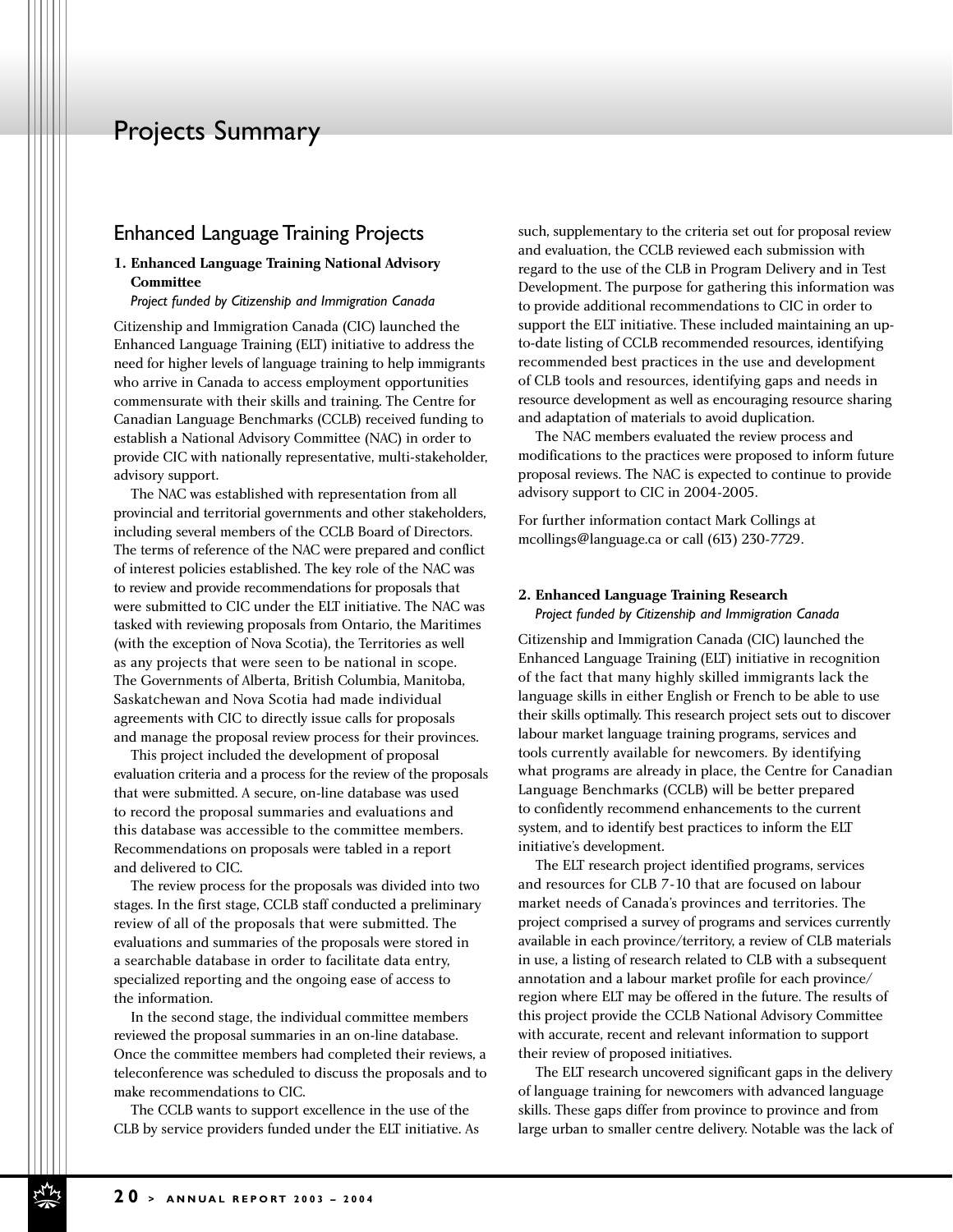#### Enhanced Language Training Projects

#### **1. Enhanced Language Training National Advisory Committee**

*Project funded by Citizenship and Immigration Canada*

Citizenship and Immigration Canada (CIC) launched the Enhanced Language Training (ELT) initiative to address the need for higher levels of language training to help immigrants who arrive in Canada to access employment opportunities commensurate with their skills and training. The Centre for Canadian Language Benchmarks (CCLB) received funding to establish a National Advisory Committee (NAC) in order to provide CIC with nationally representative, multi-stakeholder, advisory support.

The NAC was established with representation from all provincial and territorial governments and other stakeholders, including several members of the CCLB Board of Directors. The terms of reference of the NAC were prepared and conflict of interest policies established. The key role of the NAC was to review and provide recommendations for proposals that were submitted to CIC under the ELT initiative. The NAC was tasked with reviewing proposals from Ontario, the Maritimes (with the exception of Nova Scotia), the Territories as well as any projects that were seen to be national in scope. The Governments of Alberta, British Columbia, Manitoba, Saskatchewan and Nova Scotia had made individual agreements with CIC to directly issue calls for proposals and manage the proposal review process for their provinces.

This project included the development of proposal evaluation criteria and a process for the review of the proposals that were submitted. A secure, on-line database was used to record the proposal summaries and evaluations and this database was accessible to the committee members. Recommendations on proposals were tabled in a report and delivered to CIC.

The review process for the proposals was divided into two stages. In the first stage, CCLB staff conducted a preliminary review of all of the proposals that were submitted. The evaluations and summaries of the proposals were stored in a searchable database in order to facilitate data entry, specialized reporting and the ongoing ease of access to the information.

In the second stage, the individual committee members reviewed the proposal summaries in an on-line database. Once the committee members had completed their reviews, a teleconference was scheduled to discuss the proposals and to make recommendations to CIC.

The CCLB wants to support excellence in the use of the CLB by service providers funded under the ELT initiative. As such, supplementary to the criteria set out for proposal review and evaluation, the CCLB reviewed each submission with regard to the use of the CLB in Program Delivery and in Test Development. The purpose for gathering this information was to provide additional recommendations to CIC in order to support the ELT initiative. These included maintaining an upto-date listing of CCLB recommended resources, identifying recommended best practices in the use and development of CLB tools and resources, identifying gaps and needs in resource development as well as encouraging resource sharing and adaptation of materials to avoid duplication.

The NAC members evaluated the review process and modifications to the practices were proposed to inform future proposal reviews. The NAC is expected to continue to provide advisory support to CIC in 2004-2005.

For further information contact Mark Collings at mcollings@language.ca or call (613) 230-7729.

#### **2. Enhanced Language Training Research**  *Project funded by Citizenship and Immigration Canada*

Citizenship and Immigration Canada (CIC) launched the Enhanced Language Training (ELT) initiative in recognition of the fact that many highly skilled immigrants lack the language skills in either English or French to be able to use their skills optimally. This research project sets out to discover labour market language training programs, services and tools currently available for newcomers. By identifying what programs are already in place, the Centre for Canadian Language Benchmarks (CCLB) will be better prepared to confidently recommend enhancements to the current system, and to identify best practices to inform the ELT initiative's development.

The ELT research project identified programs, services and resources for CLB 7-10 that are focused on labour market needs of Canada's provinces and territories. The project comprised a survey of programs and services currently available in each province/territory, a review of CLB materials in use, a listing of research related to CLB with a subsequent annotation and a labour market profile for each province/ region where ELT may be offered in the future. The results of this project provide the CCLB National Advisory Committee with accurate, recent and relevant information to support their review of proposed initiatives.

The ELT research uncovered significant gaps in the delivery of language training for newcomers with advanced language skills. These gaps differ from province to province and from large urban to smaller centre delivery. Notable was the lack of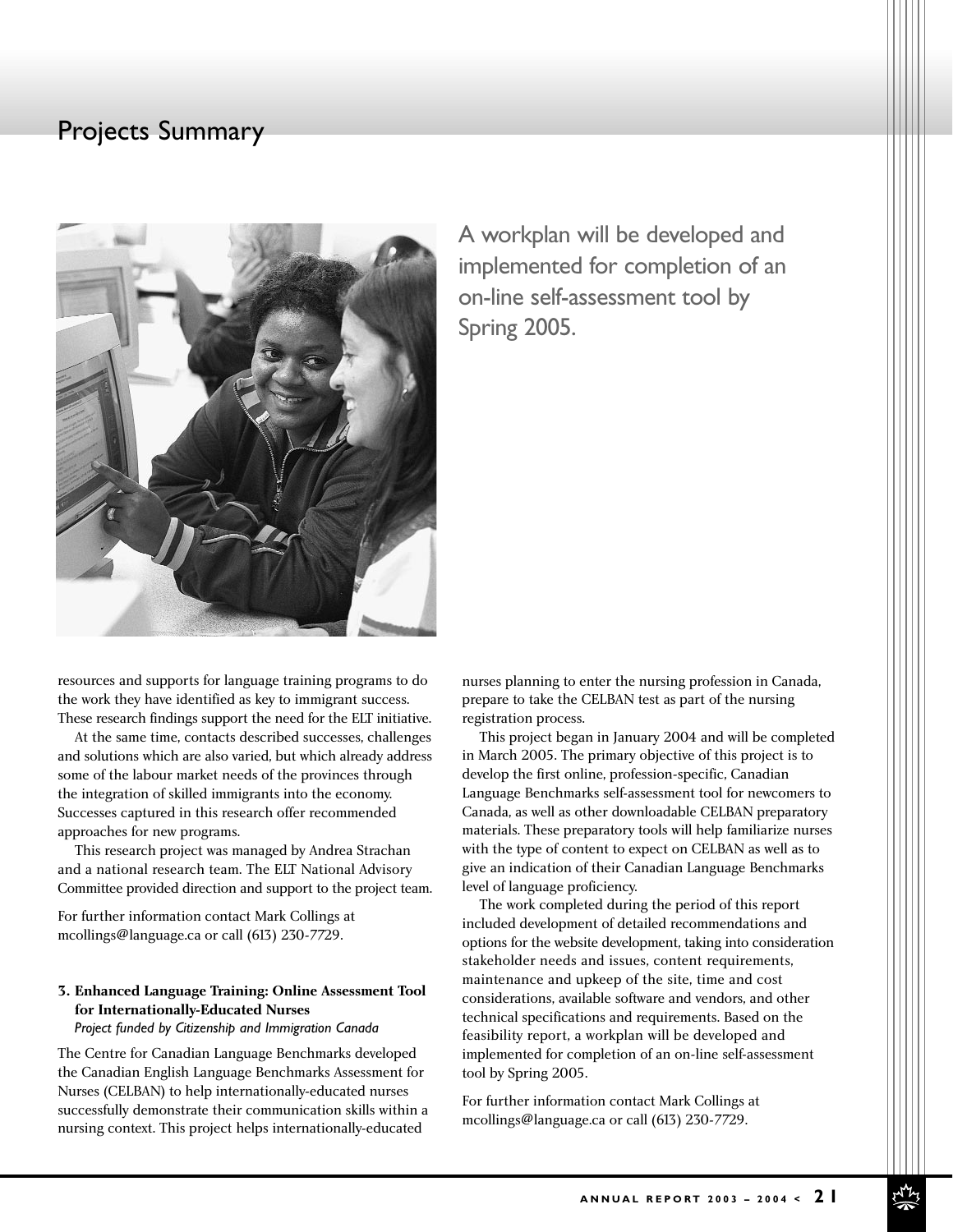

A workplan will be developed and implemented for completion of an on-line self-assessment tool by Spring 2005.

resources and supports for language training programs to do the work they have identified as key to immigrant success. These research findings support the need for the ELT initiative.

At the same time, contacts described successes, challenges and solutions which are also varied, but which already address some of the labour market needs of the provinces through the integration of skilled immigrants into the economy. Successes captured in this research offer recommended approaches for new programs.

This research project was managed by Andrea Strachan and a national research team. The ELT National Advisory Committee provided direction and support to the project team.

For further information contact Mark Collings at mcollings@language.ca or call (613) 230-7729.

#### **3. Enhanced Language Training: Online Assessment Tool for Internationally-Educated Nurses**

#### *Project funded by Citizenship and Immigration Canada*

The Centre for Canadian Language Benchmarks developed the Canadian English Language Benchmarks Assessment for Nurses (CELBAN) to help internationally-educated nurses successfully demonstrate their communication skills within a nursing context. This project helps internationally-educated

nurses planning to enter the nursing profession in Canada, prepare to take the CELBAN test as part of the nursing registration process.

This project began in January 2004 and will be completed in March 2005. The primary objective of this project is to develop the first online, profession-specific, Canadian Language Benchmarks self-assessment tool for newcomers to Canada, as well as other downloadable CELBAN preparatory materials. These preparatory tools will help familiarize nurses with the type of content to expect on CELBAN as well as to give an indication of their Canadian Language Benchmarks level of language proficiency.

The work completed during the period of this report included development of detailed recommendations and options for the website development, taking into consideration stakeholder needs and issues, content requirements, maintenance and upkeep of the site, time and cost considerations, available software and vendors, and other technical specifications and requirements. Based on the feasibility report, a workplan will be developed and implemented for completion of an on-line self-assessment tool by Spring 2005.

For further information contact Mark Collings at mcollings@language.ca or call (613) 230-7729.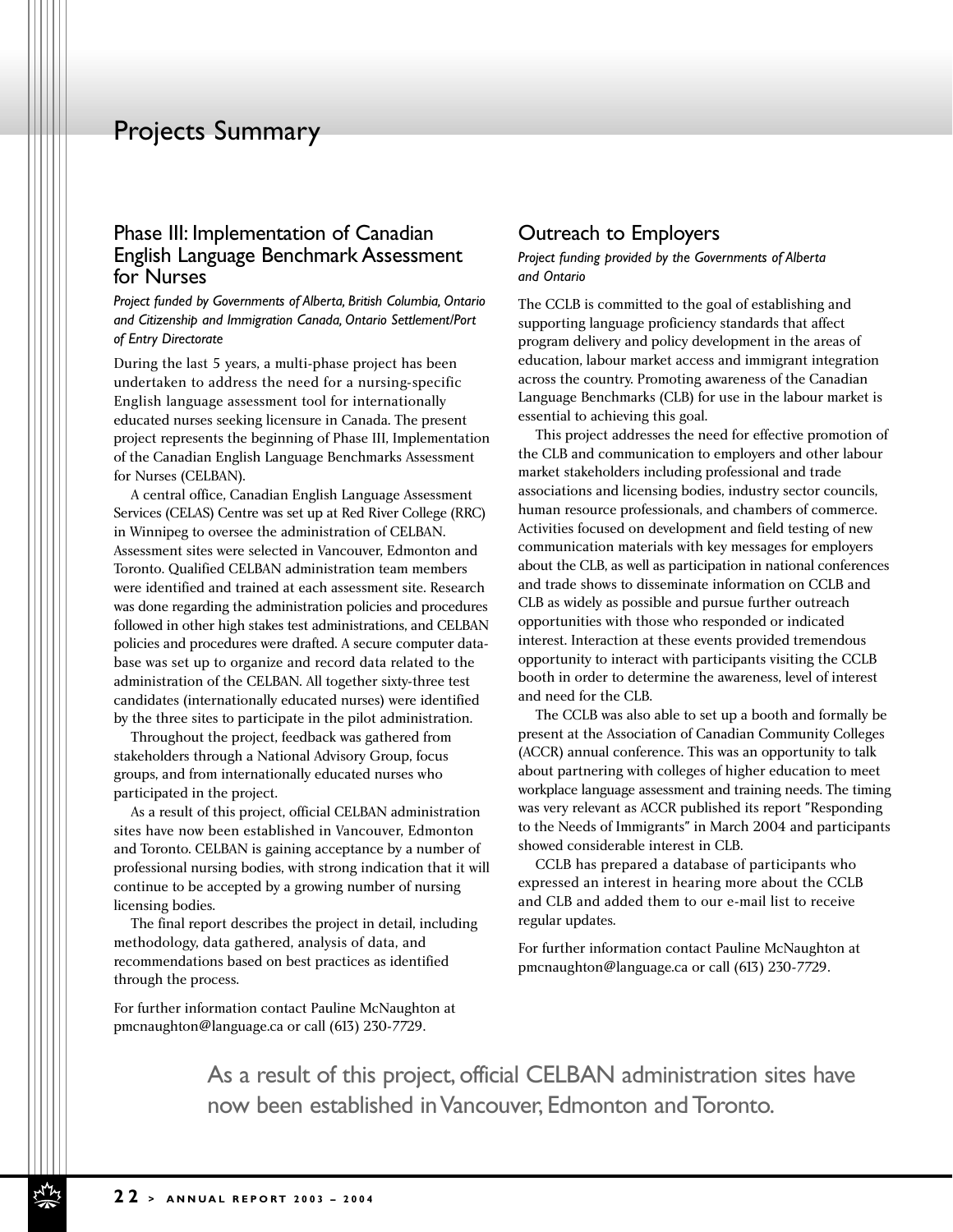#### Phase III: Implementation of Canadian English Language Benchmark Assessment for Nurses

*Project funded by Governments of Alberta, British Columbia, Ontario and Citizenship and Immigration Canada, Ontario Settlement/Port of Entry Directorate*

During the last 5 years, a multi-phase project has been undertaken to address the need for a nursing-specific English language assessment tool for internationally educated nurses seeking licensure in Canada. The present project represents the beginning of Phase III, Implementation of the Canadian English Language Benchmarks Assessment for Nurses (CELBAN).

A central office, Canadian English Language Assessment Services (CELAS) Centre was set up at Red River College (RRC) in Winnipeg to oversee the administration of CELBAN. Assessment sites were selected in Vancouver, Edmonton and Toronto. Qualified CELBAN administration team members were identified and trained at each assessment site. Research was done regarding the administration policies and procedures followed in other high stakes test administrations, and CELBAN policies and procedures were drafted. A secure computer database was set up to organize and record data related to the administration of the CELBAN. All together sixty-three test candidates (internationally educated nurses) were identified by the three sites to participate in the pilot administration.

Throughout the project, feedback was gathered from stakeholders through a National Advisory Group, focus groups, and from internationally educated nurses who participated in the project.

As a result of this project, official CELBAN administration sites have now been established in Vancouver, Edmonton and Toronto. CELBAN is gaining acceptance by a number of professional nursing bodies, with strong indication that it will continue to be accepted by a growing number of nursing licensing bodies.

The final report describes the project in detail, including methodology, data gathered, analysis of data, and recommendations based on best practices as identified through the process.

For further information contact Pauline McNaughton at pmcnaughton@language.ca or call (613) 230-7729.

#### Outreach to Employers

*Project funding provided by the Governments of Alberta and Ontario* 

The CCLB is committed to the goal of establishing and supporting language proficiency standards that affect program delivery and policy development in the areas of education, labour market access and immigrant integration across the country. Promoting awareness of the Canadian Language Benchmarks (CLB) for use in the labour market is essential to achieving this goal.

This project addresses the need for effective promotion of the CLB and communication to employers and other labour market stakeholders including professional and trade associations and licensing bodies, industry sector councils, human resource professionals, and chambers of commerce. Activities focused on development and field testing of new communication materials with key messages for employers about the CLB, as well as participation in national conferences and trade shows to disseminate information on CCLB and CLB as widely as possible and pursue further outreach opportunities with those who responded or indicated interest. Interaction at these events provided tremendous opportunity to interact with participants visiting the CCLB booth in order to determine the awareness, level of interest and need for the CLB.

The CCLB was also able to set up a booth and formally be present at the Association of Canadian Community Colleges (ACCR) annual conference. This was an opportunity to talk about partnering with colleges of higher education to meet workplace language assessment and training needs. The timing was very relevant as ACCR published its report "Responding to the Needs of Immigrants" in March 2004 and participants showed considerable interest in CLB.

CCLB has prepared a database of participants who expressed an interest in hearing more about the CCLB and CLB and added them to our e-mail list to receive regular updates.

For further information contact Pauline McNaughton at pmcnaughton@language.ca or call (613) 230-7729.

As a result of this project, official CELBAN administration sites have now been established in Vancouver, Edmonton and Toronto.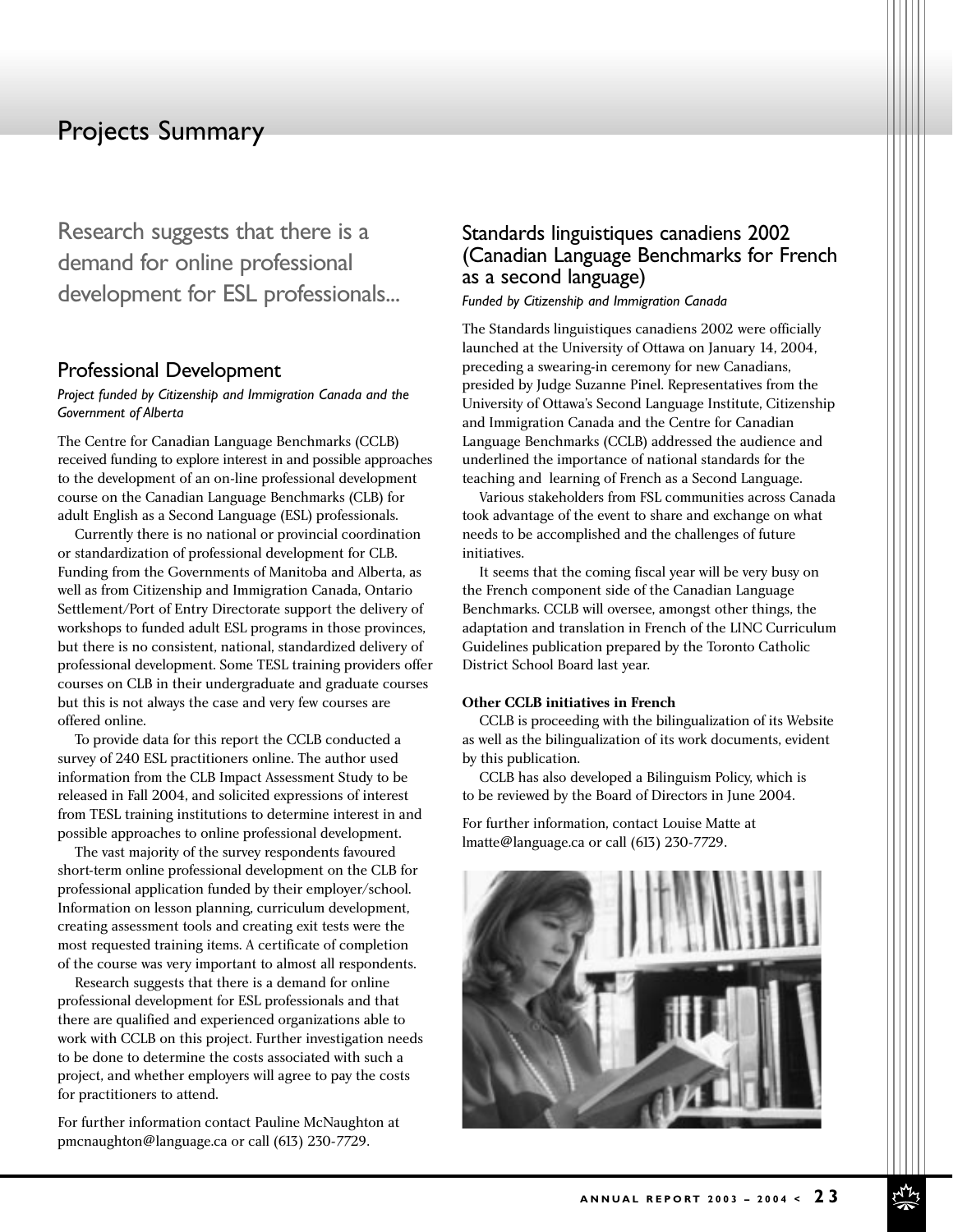Research suggests that there is a demand for online professional development for ESL professionals...

#### Professional Development

#### *Project funded by Citizenship and Immigration Canada and the Government of Alberta*

The Centre for Canadian Language Benchmarks (CCLB) received funding to explore interest in and possible approaches to the development of an on-line professional development course on the Canadian Language Benchmarks (CLB) for adult English as a Second Language (ESL) professionals.

Currently there is no national or provincial coordination or standardization of professional development for CLB. Funding from the Governments of Manitoba and Alberta, as well as from Citizenship and Immigration Canada, Ontario Settlement/Port of Entry Directorate support the delivery of workshops to funded adult ESL programs in those provinces, but there is no consistent, national, standardized delivery of professional development. Some TESL training providers offer courses on CLB in their undergraduate and graduate courses but this is not always the case and very few courses are offered online.

To provide data for this report the CCLB conducted a survey of 240 ESL practitioners online. The author used information from the CLB Impact Assessment Study to be released in Fall 2004, and solicited expressions of interest from TESL training institutions to determine interest in and possible approaches to online professional development.

The vast majority of the survey respondents favoured short-term online professional development on the CLB for professional application funded by their employer/school. Information on lesson planning, curriculum development, creating assessment tools and creating exit tests were the most requested training items. A certificate of completion of the course was very important to almost all respondents.

Research suggests that there is a demand for online professional development for ESL professionals and that there are qualified and experienced organizations able to work with CCLB on this project. Further investigation needs to be done to determine the costs associated with such a project, and whether employers will agree to pay the costs for practitioners to attend.

For further information contact Pauline McNaughton at pmcnaughton@language.ca or call (613) 230-7729.

## Standards linguistiques canadiens 2002 (Canadian Language Benchmarks for French as a second language)

*Funded by Citizenship and Immigration Canada*

The Standards linguistiques canadiens 2002 were officially launched at the University of Ottawa on January 14, 2004, preceding a swearing-in ceremony for new Canadians, presided by Judge Suzanne Pinel. Representatives from the University of Ottawa's Second Language Institute, Citizenship and Immigration Canada and the Centre for Canadian Language Benchmarks (CCLB) addressed the audience and underlined the importance of national standards for the teaching and learning of French as a Second Language.

Various stakeholders from FSL communities across Canada took advantage of the event to share and exchange on what needs to be accomplished and the challenges of future initiatives.

It seems that the coming fiscal year will be very busy on the French component side of the Canadian Language Benchmarks. CCLB will oversee, amongst other things, the adaptation and translation in French of the LINC Curriculum Guidelines publication prepared by the Toronto Catholic District School Board last year.

#### **Other CCLB initiatives in French**

CCLB is proceeding with the bilingualization of its Website as well as the bilingualization of its work documents, evident by this publication.

CCLB has also developed a Bilinguism Policy, which is to be reviewed by the Board of Directors in June 2004.

For further information, contact Louise Matte at lmatte@language.ca or call (613) 230-7729.

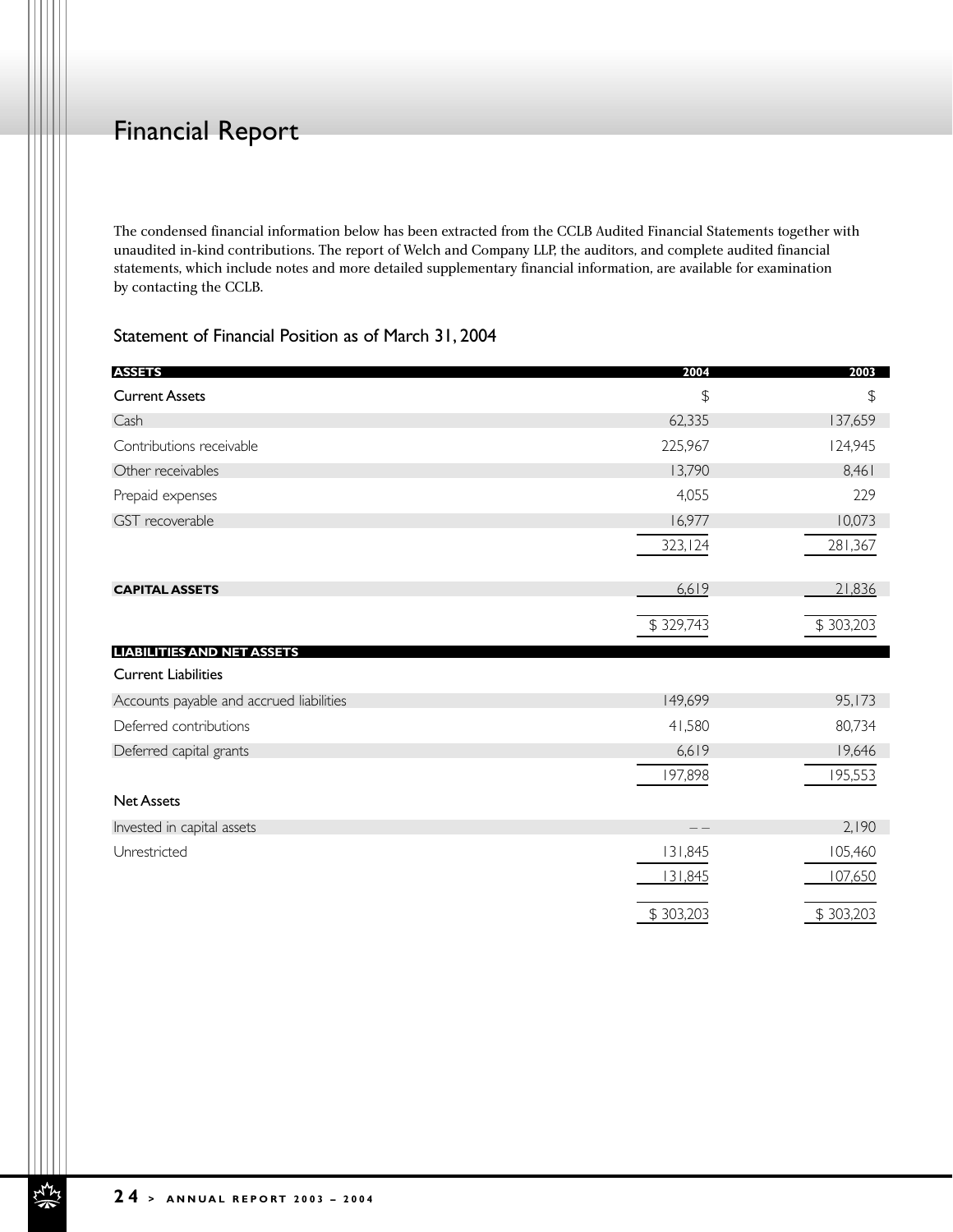# Financial Report

The condensed financial information below has been extracted from the CCLB Audited Financial Statements together with unaudited in-kind contributions. The report of Welch and Company LLP, the auditors, and complete audited financial statements, which include notes and more detailed supplementary financial information, are available for examination by contacting the CCLB.

## Statement of Financial Position as of March 31, 2004

| <b>ASSETS</b>                            | 2004          | 2003          |
|------------------------------------------|---------------|---------------|
| <b>Current Assets</b>                    | $\frac{1}{2}$ | $\frac{1}{2}$ |
| Cash                                     | 62,335        | 137,659       |
| Contributions receivable                 | 225,967       | 124,945       |
| Other receivables                        | 13,790        | 8,461         |
| Prepaid expenses                         | 4,055         | 229           |
| GST recoverable                          | 16,977        | 10,073        |
|                                          | 323, 124      | 281,367       |
| <b>CAPITAL ASSETS</b>                    | 6,619         | 21,836        |
|                                          | \$329,743     | \$303,203     |
| <b>LIABILITIES AND NET ASSETS</b>        |               |               |
| <b>Current Liabilities</b>               |               |               |
| Accounts payable and accrued liabilities | 149,699       | 95,173        |
| Deferred contributions                   | 41,580        | 80,734        |
| Deferred capital grants                  | 6,619         | 19,646        |
|                                          | 197,898       | 195,553       |
| <b>Net Assets</b>                        |               |               |
| Invested in capital assets               | $ -$          | 2,190         |
| Unrestricted                             | 131,845       | 105,460       |
|                                          | 131,845       | 107,650       |
|                                          | \$303,203     | \$303,203     |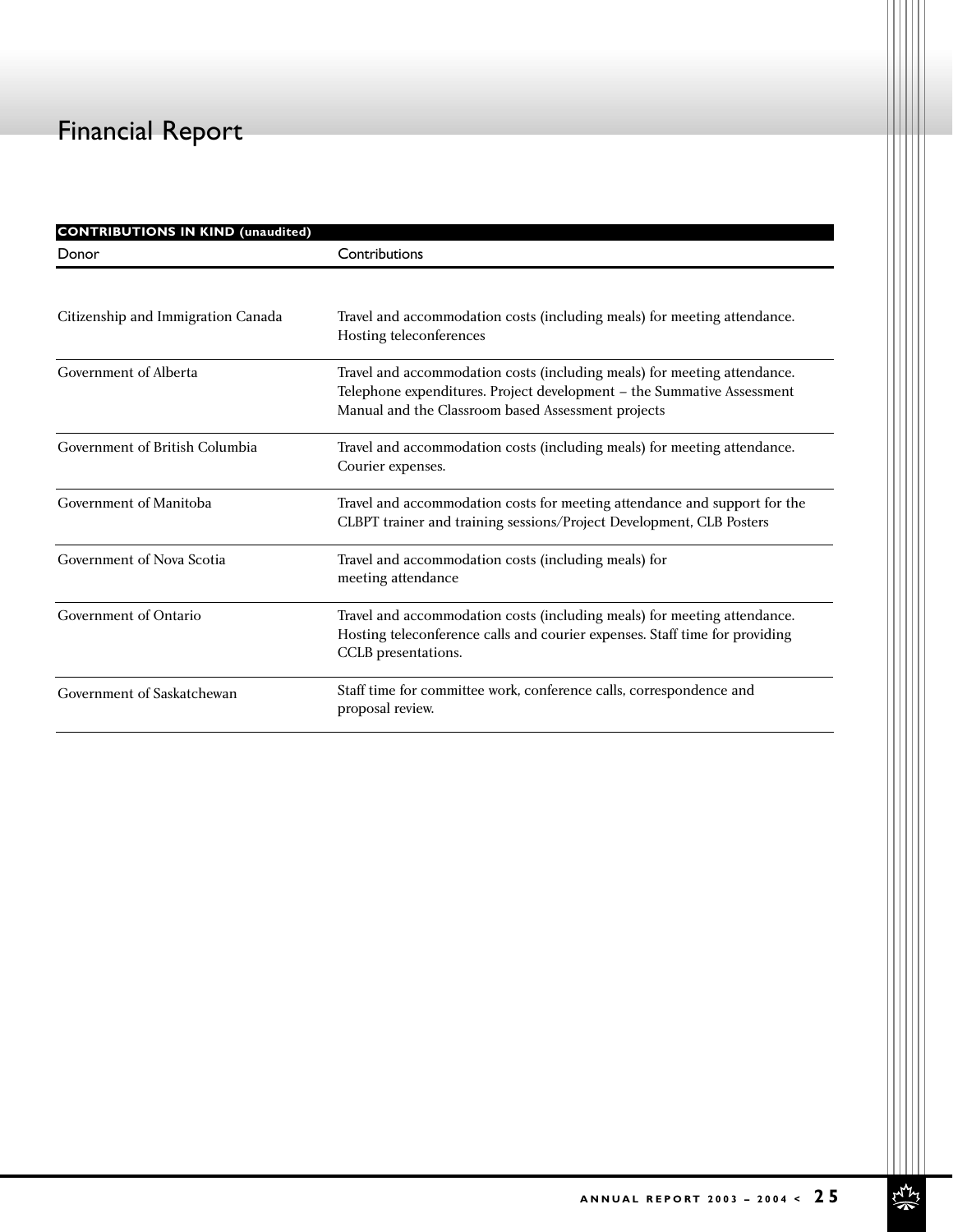# Financial Report

| <b>CONTRIBUTIONS IN KIND (unaudited)</b> |                                                                                                                                                                                                          |  |  |
|------------------------------------------|----------------------------------------------------------------------------------------------------------------------------------------------------------------------------------------------------------|--|--|
| Donor                                    | Contributions                                                                                                                                                                                            |  |  |
|                                          |                                                                                                                                                                                                          |  |  |
| Citizenship and Immigration Canada       | Travel and accommodation costs (including meals) for meeting attendance.<br>Hosting teleconferences                                                                                                      |  |  |
| Government of Alberta                    | Travel and accommodation costs (including meals) for meeting attendance.<br>Telephone expenditures. Project development - the Summative Assessment<br>Manual and the Classroom based Assessment projects |  |  |
| Government of British Columbia           | Travel and accommodation costs (including meals) for meeting attendance.<br>Courier expenses.                                                                                                            |  |  |
| Government of Manitoba                   | Travel and accommodation costs for meeting attendance and support for the<br>CLBPT trainer and training sessions/Project Development, CLB Posters                                                        |  |  |
| Government of Nova Scotia                | Travel and accommodation costs (including meals) for<br>meeting attendance                                                                                                                               |  |  |
| Government of Ontario                    | Travel and accommodation costs (including meals) for meeting attendance.<br>Hosting teleconference calls and courier expenses. Staff time for providing<br>CCLB presentations.                           |  |  |
| Government of Saskatchewan               | Staff time for committee work, conference calls, correspondence and<br>proposal review.                                                                                                                  |  |  |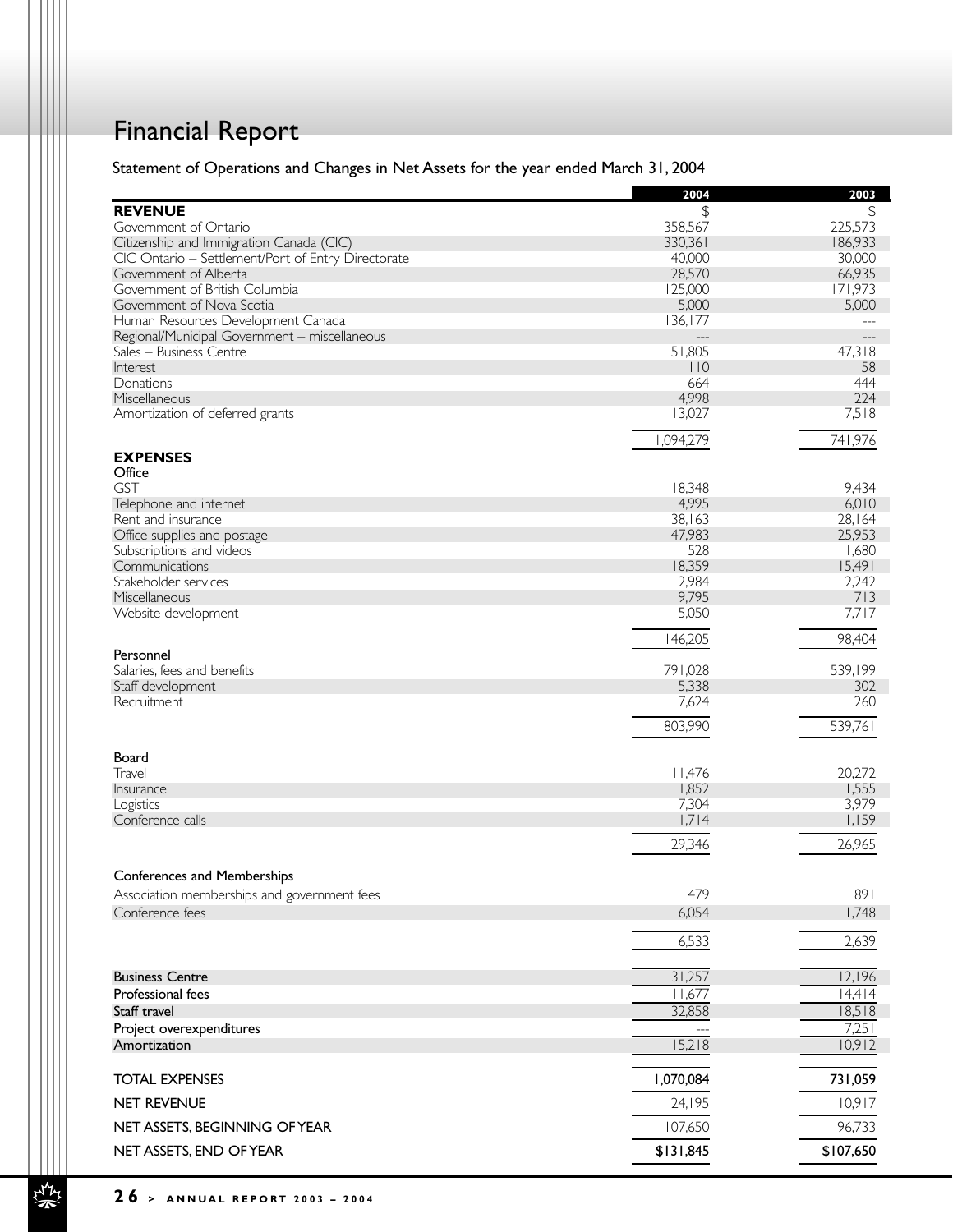# Financial Report

## Statement of Operations and Changes in Net Assets for the year ended March 31, 2004

|                                                    | 2004      | 2003      |
|----------------------------------------------------|-----------|-----------|
| <b>REVENUE</b>                                     | \$        | \$        |
| Government of Ontario                              | 358,567   | 225,573   |
| Citizenship and Immigration Canada (CIC)           | 330,361   | 186,933   |
| CIC Ontario - Settlement/Port of Entry Directorate | 40,000    | 30,000    |
| Government of Alberta                              | 28,570    | 66,935    |
| Government of British Columbia                     | 125,000   | 171,973   |
| Government of Nova Scotia                          | 5,000     | 5,000     |
| Human Resources Development Canada                 | 136,177   |           |
| Regional/Municipal Government - miscellaneous      |           |           |
| Sales - Business Centre                            | 51,805    | 47,318    |
| Interest                                           | $ $ $ $ 0 | 58        |
| Donations                                          | 664       | 444       |
| Miscellaneous                                      | 4,998     | 224       |
| Amortization of deferred grants                    | 13,027    | 7,518     |
|                                                    | 1,094,279 | 741,976   |
| <b>EXPENSES</b>                                    |           |           |
| Office                                             |           |           |
| <b>GST</b>                                         | 18,348    | 9,434     |
| Telephone and internet                             | 4,995     | 6,010     |
| Rent and insurance                                 | 38,163    | 28,164    |
| Office supplies and postage                        | 47,983    | 25,953    |
| Subscriptions and videos                           | 528       | 1,680     |
| Communications                                     | 18,359    | 15,491    |
| Stakeholder services                               | 2,984     | 2,242     |
| Miscellaneous                                      | 9,795     | 713       |
| Website development                                | 5,050     | 7,717     |
| Personnel                                          | 146,205   | 98,404    |
| Salaries, fees and benefits                        | 791,028   | 539,199   |
| Staff development                                  | 5,338     | 302       |
| Recruitment                                        | 7,624     | 260       |
|                                                    |           |           |
|                                                    | 803,990   | 539,761   |
| Board                                              |           |           |
| Travel                                             | 11,476    | 20,272    |
| Insurance                                          | 1,852     | 1,555     |
| Logistics                                          | 7,304     | 3,979     |
| Conference calls                                   | 1,714     | 1,159     |
|                                                    | 29,346    | 26,965    |
| <b>Conferences and Memberships</b>                 |           |           |
| Association memberships and government fees        | 479       | 891       |
|                                                    | 6,054     | 1,748     |
| Conference fees                                    |           |           |
|                                                    | 6,533     | 2,639     |
| <b>Business Centre</b>                             | 31,257    | 12,196    |
| Professional fees                                  | 11,677    | 14,414    |
| Staff travel                                       | 32,858    | 18,518    |
| Project overexpenditures                           |           | 7,251     |
| Amortization                                       | 15,218    | 10,912    |
|                                                    |           |           |
| <b>TOTAL EXPENSES</b>                              | 1,070,084 | 731,059   |
| NET REVENUE                                        | 24,195    | 10,917    |
| NET ASSETS, BEGINNING OF YEAR                      | 107,650   | 96,733    |
| NET ASSETS, END OF YEAR                            | \$131,845 | \$107,650 |